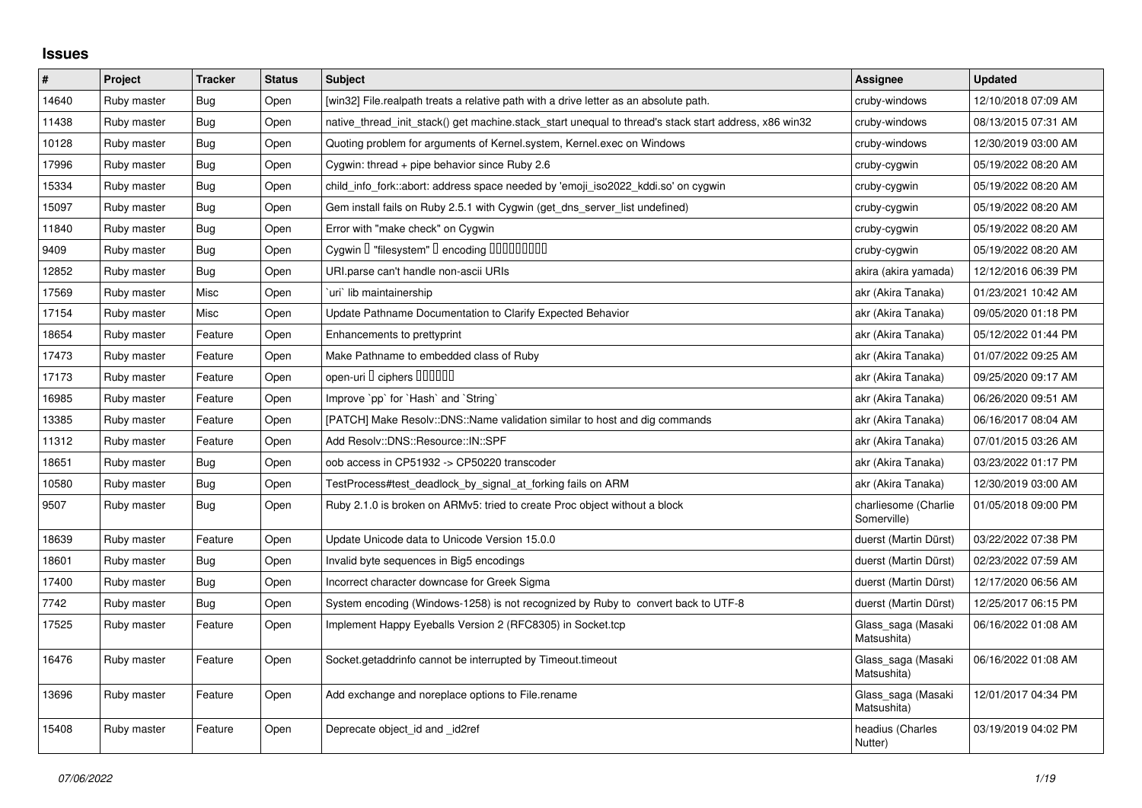## **Issues**

| $\vert$ # | Project     | <b>Tracker</b> | <b>Status</b> | <b>Subject</b>                                                                                        | <b>Assignee</b>                     | <b>Updated</b>      |
|-----------|-------------|----------------|---------------|-------------------------------------------------------------------------------------------------------|-------------------------------------|---------------------|
| 14640     | Ruby master | Bug            | Open          | [win32] File.realpath treats a relative path with a drive letter as an absolute path.                 | cruby-windows                       | 12/10/2018 07:09 AM |
| 11438     | Ruby master | Bug            | Open          | native_thread_init_stack() get machine.stack_start unequal to thread's stack start address, x86 win32 | cruby-windows                       | 08/13/2015 07:31 AM |
| 10128     | Ruby master | <b>Bug</b>     | Open          | Quoting problem for arguments of Kernel.system, Kernel.exec on Windows                                | cruby-windows                       | 12/30/2019 03:00 AM |
| 17996     | Ruby master | Bug            | Open          | Cygwin: thread $+$ pipe behavior since Ruby 2.6                                                       | cruby-cygwin                        | 05/19/2022 08:20 AM |
| 15334     | Ruby master | Bug            | Open          | child info fork::abort: address space needed by 'emoji iso2022 kddi.so' on cygwin                     | cruby-cygwin                        | 05/19/2022 08:20 AM |
| 15097     | Ruby master | Bug            | Open          | Gem install fails on Ruby 2.5.1 with Cygwin (get_dns_server_list undefined)                           | cruby-cygwin                        | 05/19/2022 08:20 AM |
| 11840     | Ruby master | Bug            | Open          | Error with "make check" on Cygwin                                                                     | cruby-cygwin                        | 05/19/2022 08:20 AM |
| 9409      | Ruby master | Bug            | Open          | Cygwin I "filesystem" I encoding IIIIIIIIIIIII                                                        | cruby-cygwin                        | 05/19/2022 08:20 AM |
| 12852     | Ruby master | Bug            | Open          | URI.parse can't handle non-ascii URIs                                                                 | akira (akira yamada)                | 12/12/2016 06:39 PM |
| 17569     | Ruby master | Misc           | Open          | uri lib maintainership                                                                                | akr (Akira Tanaka)                  | 01/23/2021 10:42 AM |
| 17154     | Ruby master | Misc           | Open          | Update Pathname Documentation to Clarify Expected Behavior                                            | akr (Akira Tanaka)                  | 09/05/2020 01:18 PM |
| 18654     | Ruby master | Feature        | Open          | Enhancements to prettyprint                                                                           | akr (Akira Tanaka)                  | 05/12/2022 01:44 PM |
| 17473     | Ruby master | Feature        | Open          | Make Pathname to embedded class of Ruby                                                               | akr (Akira Tanaka)                  | 01/07/2022 09:25 AM |
| 17173     | Ruby master | Feature        | Open          | open-uri I ciphers IIIIIII                                                                            | akr (Akira Tanaka)                  | 09/25/2020 09:17 AM |
| 16985     | Ruby master | Feature        | Open          | Improve `pp` for `Hash` and `String`                                                                  | akr (Akira Tanaka)                  | 06/26/2020 09:51 AM |
| 13385     | Ruby master | Feature        | Open          | [PATCH] Make Resolv::DNS::Name validation similar to host and dig commands                            | akr (Akira Tanaka)                  | 06/16/2017 08:04 AM |
| 11312     | Ruby master | Feature        | Open          | Add Resolv::DNS::Resource::IN::SPF                                                                    | akr (Akira Tanaka)                  | 07/01/2015 03:26 AM |
| 18651     | Ruby master | Bug            | Open          | oob access in CP51932 -> CP50220 transcoder                                                           | akr (Akira Tanaka)                  | 03/23/2022 01:17 PM |
| 10580     | Ruby master | Bug            | Open          | TestProcess#test deadlock by signal at forking fails on ARM                                           | akr (Akira Tanaka)                  | 12/30/2019 03:00 AM |
| 9507      | Ruby master | Bug            | Open          | Ruby 2.1.0 is broken on ARMv5: tried to create Proc object without a block                            | charliesome (Charlie<br>Somerville) | 01/05/2018 09:00 PM |
| 18639     | Ruby master | Feature        | Open          | Update Unicode data to Unicode Version 15.0.0                                                         | duerst (Martin Dürst)               | 03/22/2022 07:38 PM |
| 18601     | Ruby master | Bug            | Open          | Invalid byte sequences in Big5 encodings                                                              | duerst (Martin Dürst)               | 02/23/2022 07:59 AM |
| 17400     | Ruby master | <b>Bug</b>     | Open          | Incorrect character downcase for Greek Sigma                                                          | duerst (Martin Dürst)               | 12/17/2020 06:56 AM |
| 7742      | Ruby master | Bug            | Open          | System encoding (Windows-1258) is not recognized by Ruby to convert back to UTF-8                     | duerst (Martin Dürst)               | 12/25/2017 06:15 PM |
| 17525     | Ruby master | Feature        | Open          | Implement Happy Eyeballs Version 2 (RFC8305) in Socket.tcp                                            | Glass_saga (Masaki<br>Matsushita)   | 06/16/2022 01:08 AM |
| 16476     | Ruby master | Feature        | Open          | Socket.getaddrinfo cannot be interrupted by Timeout.timeout                                           | Glass_saga (Masaki<br>Matsushita)   | 06/16/2022 01:08 AM |
| 13696     | Ruby master | Feature        | Open          | Add exchange and noreplace options to File.rename                                                     | Glass_saga (Masaki<br>Matsushita)   | 12/01/2017 04:34 PM |
| 15408     | Ruby master | Feature        | Open          | Deprecate object_id and _id2ref                                                                       | headius (Charles<br>Nutter)         | 03/19/2019 04:02 PM |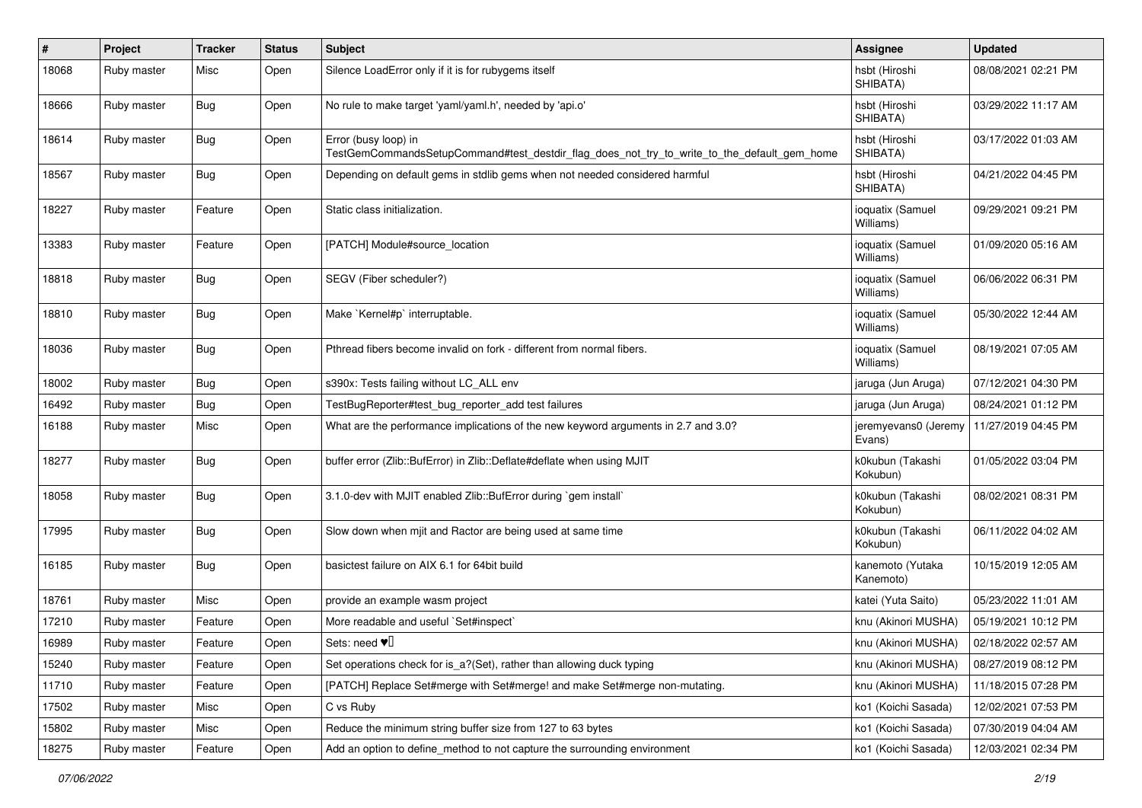| $\#$  | Project     | <b>Tracker</b> | <b>Status</b> | <b>Subject</b>                                                                                                      | <b>Assignee</b>                | <b>Updated</b>      |
|-------|-------------|----------------|---------------|---------------------------------------------------------------------------------------------------------------------|--------------------------------|---------------------|
| 18068 | Ruby master | Misc           | Open          | Silence LoadError only if it is for rubygems itself                                                                 | hsbt (Hiroshi<br>SHIBATA)      | 08/08/2021 02:21 PM |
| 18666 | Ruby master | Bug            | Open          | No rule to make target 'yaml/yaml.h', needed by 'api.o'                                                             | hsbt (Hiroshi<br>SHIBATA)      | 03/29/2022 11:17 AM |
| 18614 | Ruby master | Bug            | Open          | Error (busy loop) in<br>TestGemCommandsSetupCommand#test_destdir_flag_does_not_try_to_write_to_the_default_gem_home | hsbt (Hiroshi<br>SHIBATA)      | 03/17/2022 01:03 AM |
| 18567 | Ruby master | <b>Bug</b>     | Open          | Depending on default gems in stdlib gems when not needed considered harmful                                         | hsbt (Hiroshi<br>SHIBATA)      | 04/21/2022 04:45 PM |
| 18227 | Ruby master | Feature        | Open          | Static class initialization.                                                                                        | ioquatix (Samuel<br>Williams)  | 09/29/2021 09:21 PM |
| 13383 | Ruby master | Feature        | Open          | [PATCH] Module#source_location                                                                                      | ioquatix (Samuel<br>Williams)  | 01/09/2020 05:16 AM |
| 18818 | Ruby master | Bug            | Open          | SEGV (Fiber scheduler?)                                                                                             | ioquatix (Samuel<br>Williams)  | 06/06/2022 06:31 PM |
| 18810 | Ruby master | Bug            | Open          | Make `Kernel#p` interruptable.                                                                                      | ioquatix (Samuel<br>Williams)  | 05/30/2022 12:44 AM |
| 18036 | Ruby master | Bug            | Open          | Pthread fibers become invalid on fork - different from normal fibers.                                               | ioquatix (Samuel<br>Williams)  | 08/19/2021 07:05 AM |
| 18002 | Ruby master | <b>Bug</b>     | Open          | s390x: Tests failing without LC_ALL env                                                                             | jaruga (Jun Aruga)             | 07/12/2021 04:30 PM |
| 16492 | Ruby master | Bug            | Open          | TestBugReporter#test_bug_reporter_add test failures                                                                 | jaruga (Jun Aruga)             | 08/24/2021 01:12 PM |
| 16188 | Ruby master | Misc           | Open          | What are the performance implications of the new keyword arguments in 2.7 and 3.0?                                  | jeremyevans0 (Jeremy<br>Evans) | 11/27/2019 04:45 PM |
| 18277 | Ruby master | <b>Bug</b>     | Open          | buffer error (Zlib::BufError) in Zlib::Deflate#deflate when using MJIT                                              | k0kubun (Takashi<br>Kokubun)   | 01/05/2022 03:04 PM |
| 18058 | Ruby master | Bug            | Open          | 3.1.0-dev with MJIT enabled Zlib::BufError during `gem install`                                                     | k0kubun (Takashi<br>Kokubun)   | 08/02/2021 08:31 PM |
| 17995 | Ruby master | Bug            | Open          | Slow down when mjit and Ractor are being used at same time                                                          | k0kubun (Takashi<br>Kokubun)   | 06/11/2022 04:02 AM |
| 16185 | Ruby master | Bug            | Open          | basictest failure on AIX 6.1 for 64bit build                                                                        | kanemoto (Yutaka<br>Kanemoto)  | 10/15/2019 12:05 AM |
| 18761 | Ruby master | Misc           | Open          | provide an example wasm project                                                                                     | katei (Yuta Saito)             | 05/23/2022 11:01 AM |
| 17210 | Ruby master | Feature        | Open          | More readable and useful `Set#inspect`                                                                              | knu (Akinori MUSHA)            | 05/19/2021 10:12 PM |
| 16989 | Ruby master | Feature        | Open          | Sets: need $\Psi$                                                                                                   | knu (Akinori MUSHA)            | 02/18/2022 02:57 AM |
| 15240 | Ruby master | Feature        | Open          | Set operations check for is_a?(Set), rather than allowing duck typing                                               | knu (Akinori MUSHA)            | 08/27/2019 08:12 PM |
| 11710 | Ruby master | Feature        | Open          | [PATCH] Replace Set#merge with Set#merge! and make Set#merge non-mutating.                                          | knu (Akinori MUSHA)            | 11/18/2015 07:28 PM |
| 17502 | Ruby master | Misc           | Open          | C vs Ruby                                                                                                           | ko1 (Koichi Sasada)            | 12/02/2021 07:53 PM |
| 15802 | Ruby master | Misc           | Open          | Reduce the minimum string buffer size from 127 to 63 bytes                                                          | ko1 (Koichi Sasada)            | 07/30/2019 04:04 AM |
| 18275 | Ruby master | Feature        | Open          | Add an option to define_method to not capture the surrounding environment                                           | ko1 (Koichi Sasada)            | 12/03/2021 02:34 PM |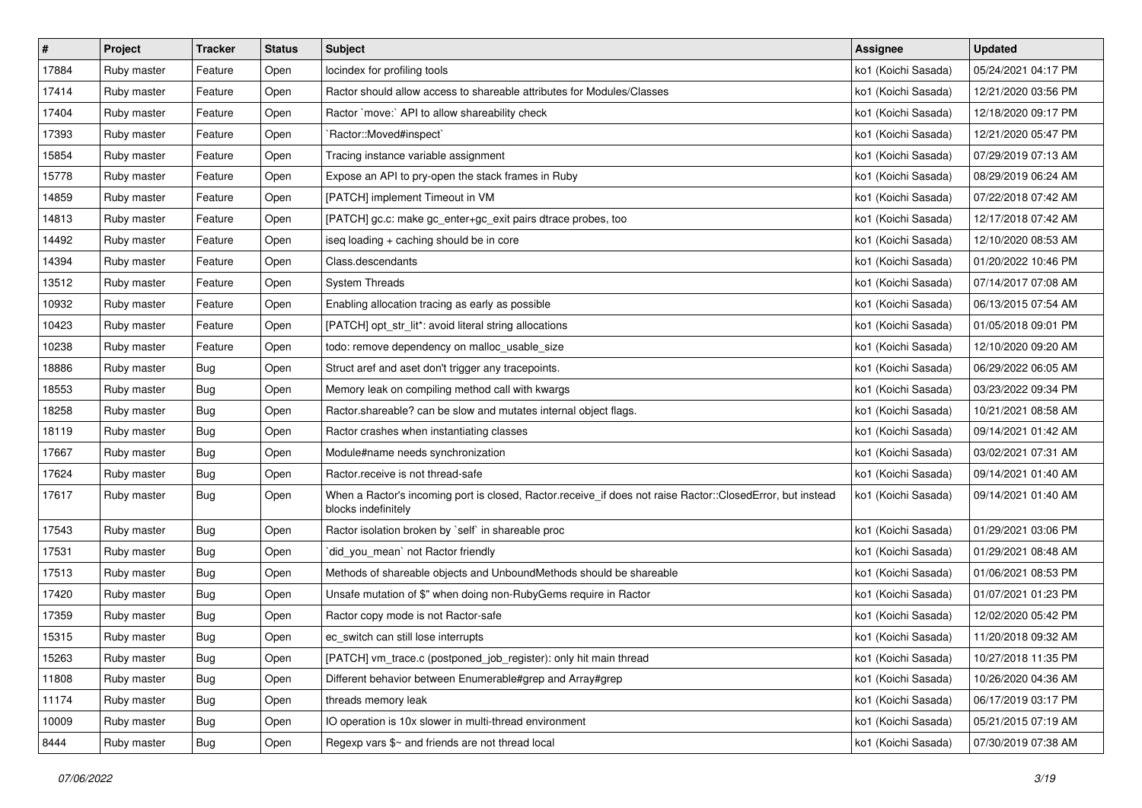| $\pmb{\#}$ | Project     | <b>Tracker</b> | <b>Status</b> | Subject                                                                                                                           | Assignee            | <b>Updated</b>      |
|------------|-------------|----------------|---------------|-----------------------------------------------------------------------------------------------------------------------------------|---------------------|---------------------|
| 17884      | Ruby master | Feature        | Open          | locindex for profiling tools                                                                                                      | ko1 (Koichi Sasada) | 05/24/2021 04:17 PM |
| 17414      | Ruby master | Feature        | Open          | Ractor should allow access to shareable attributes for Modules/Classes                                                            | ko1 (Koichi Sasada) | 12/21/2020 03:56 PM |
| 17404      | Ruby master | Feature        | Open          | Ractor `move:` API to allow shareability check                                                                                    | ko1 (Koichi Sasada) | 12/18/2020 09:17 PM |
| 17393      | Ruby master | Feature        | Open          | `Ractor::Moved#inspect`                                                                                                           | ko1 (Koichi Sasada) | 12/21/2020 05:47 PM |
| 15854      | Ruby master | Feature        | Open          | Tracing instance variable assignment                                                                                              | ko1 (Koichi Sasada) | 07/29/2019 07:13 AM |
| 15778      | Ruby master | Feature        | Open          | Expose an API to pry-open the stack frames in Ruby                                                                                | ko1 (Koichi Sasada) | 08/29/2019 06:24 AM |
| 14859      | Ruby master | Feature        | Open          | [PATCH] implement Timeout in VM                                                                                                   | ko1 (Koichi Sasada) | 07/22/2018 07:42 AM |
| 14813      | Ruby master | Feature        | Open          | [PATCH] gc.c: make gc_enter+gc_exit pairs dtrace probes, too                                                                      | ko1 (Koichi Sasada) | 12/17/2018 07:42 AM |
| 14492      | Ruby master | Feature        | Open          | iseq loading + caching should be in core                                                                                          | ko1 (Koichi Sasada) | 12/10/2020 08:53 AM |
| 14394      | Ruby master | Feature        | Open          | Class.descendants                                                                                                                 | ko1 (Koichi Sasada) | 01/20/2022 10:46 PM |
| 13512      | Ruby master | Feature        | Open          | <b>System Threads</b>                                                                                                             | ko1 (Koichi Sasada) | 07/14/2017 07:08 AM |
| 10932      | Ruby master | Feature        | Open          | Enabling allocation tracing as early as possible                                                                                  | ko1 (Koichi Sasada) | 06/13/2015 07:54 AM |
| 10423      | Ruby master | Feature        | Open          | [PATCH] opt_str_lit*: avoid literal string allocations                                                                            | ko1 (Koichi Sasada) | 01/05/2018 09:01 PM |
| 10238      | Ruby master | Feature        | Open          | todo: remove dependency on malloc_usable_size                                                                                     | ko1 (Koichi Sasada) | 12/10/2020 09:20 AM |
| 18886      | Ruby master | Bug            | Open          | Struct aref and aset don't trigger any tracepoints.                                                                               | ko1 (Koichi Sasada) | 06/29/2022 06:05 AM |
| 18553      | Ruby master | Bug            | Open          | Memory leak on compiling method call with kwargs                                                                                  | ko1 (Koichi Sasada) | 03/23/2022 09:34 PM |
| 18258      | Ruby master | <b>Bug</b>     | Open          | Ractor shareable? can be slow and mutates internal object flags.                                                                  | ko1 (Koichi Sasada) | 10/21/2021 08:58 AM |
| 18119      | Ruby master | Bug            | Open          | Ractor crashes when instantiating classes                                                                                         | ko1 (Koichi Sasada) | 09/14/2021 01:42 AM |
| 17667      | Ruby master | Bug            | Open          | Module#name needs synchronization                                                                                                 | ko1 (Koichi Sasada) | 03/02/2021 07:31 AM |
| 17624      | Ruby master | Bug            | Open          | Ractor.receive is not thread-safe                                                                                                 | ko1 (Koichi Sasada) | 09/14/2021 01:40 AM |
| 17617      | Ruby master | <b>Bug</b>     | Open          | When a Ractor's incoming port is closed, Ractor.receive_if does not raise Ractor::ClosedError, but instead<br>blocks indefinitely | ko1 (Koichi Sasada) | 09/14/2021 01:40 AM |
| 17543      | Ruby master | <b>Bug</b>     | Open          | Ractor isolation broken by `self` in shareable proc                                                                               | ko1 (Koichi Sasada) | 01/29/2021 03:06 PM |
| 17531      | Ruby master | <b>Bug</b>     | Open          | did_you_mean` not Ractor friendly                                                                                                 | ko1 (Koichi Sasada) | 01/29/2021 08:48 AM |
| 17513      | Ruby master | <b>Bug</b>     | Open          | Methods of shareable objects and UnboundMethods should be shareable                                                               | ko1 (Koichi Sasada) | 01/06/2021 08:53 PM |
| 17420      | Ruby master | Bug            | Open          | Unsafe mutation of \$" when doing non-RubyGems require in Ractor                                                                  | ko1 (Koichi Sasada) | 01/07/2021 01:23 PM |
| 17359      | Ruby master | Bug            | Open          | Ractor copy mode is not Ractor-safe                                                                                               | ko1 (Koichi Sasada) | 12/02/2020 05:42 PM |
| 15315      | Ruby master | Bug            | Open          | ec switch can still lose interrupts                                                                                               | ko1 (Koichi Sasada) | 11/20/2018 09:32 AM |
| 15263      | Ruby master | <b>Bug</b>     | Open          | [PATCH] vm_trace.c (postponed_job_register): only hit main thread                                                                 | ko1 (Koichi Sasada) | 10/27/2018 11:35 PM |
| 11808      | Ruby master | <b>Bug</b>     | Open          | Different behavior between Enumerable#grep and Array#grep                                                                         | ko1 (Koichi Sasada) | 10/26/2020 04:36 AM |
| 11174      | Ruby master | <b>Bug</b>     | Open          | threads memory leak                                                                                                               | ko1 (Koichi Sasada) | 06/17/2019 03:17 PM |
| 10009      | Ruby master | <b>Bug</b>     | Open          | IO operation is 10x slower in multi-thread environment                                                                            | ko1 (Koichi Sasada) | 05/21/2015 07:19 AM |
| 8444       | Ruby master | Bug            | Open          | Regexp vars \$~ and friends are not thread local                                                                                  | ko1 (Koichi Sasada) | 07/30/2019 07:38 AM |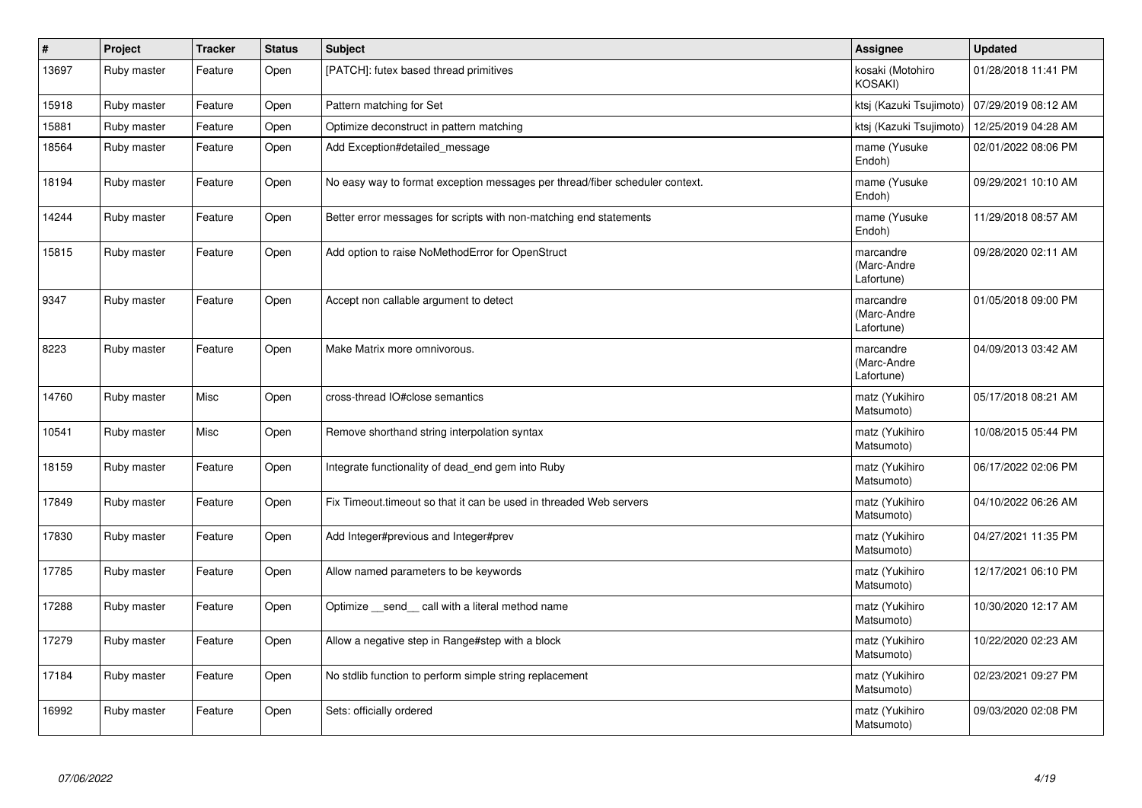| $\#$  | <b>Project</b> | <b>Tracker</b> | <b>Status</b> | <b>Subject</b>                                                               | Assignee                               | <b>Updated</b>      |
|-------|----------------|----------------|---------------|------------------------------------------------------------------------------|----------------------------------------|---------------------|
| 13697 | Ruby master    | Feature        | Open          | [PATCH]: futex based thread primitives                                       | kosaki (Motohiro<br><b>KOSAKI)</b>     | 01/28/2018 11:41 PM |
| 15918 | Ruby master    | Feature        | Open          | Pattern matching for Set                                                     | ktsj (Kazuki Tsujimoto)                | 07/29/2019 08:12 AM |
| 15881 | Ruby master    | Feature        | Open          | Optimize deconstruct in pattern matching                                     | ktsj (Kazuki Tsujimoto)                | 12/25/2019 04:28 AM |
| 18564 | Ruby master    | Feature        | Open          | Add Exception#detailed_message                                               | mame (Yusuke<br>Endoh)                 | 02/01/2022 08:06 PM |
| 18194 | Ruby master    | Feature        | Open          | No easy way to format exception messages per thread/fiber scheduler context. | mame (Yusuke<br>Endoh)                 | 09/29/2021 10:10 AM |
| 14244 | Ruby master    | Feature        | Open          | Better error messages for scripts with non-matching end statements           | mame (Yusuke<br>Endoh)                 | 11/29/2018 08:57 AM |
| 15815 | Ruby master    | Feature        | Open          | Add option to raise NoMethodError for OpenStruct                             | marcandre<br>(Marc-Andre<br>Lafortune) | 09/28/2020 02:11 AM |
| 9347  | Ruby master    | Feature        | Open          | Accept non callable argument to detect                                       | marcandre<br>(Marc-Andre<br>Lafortune) | 01/05/2018 09:00 PM |
| 8223  | Ruby master    | Feature        | Open          | Make Matrix more omnivorous.                                                 | marcandre<br>(Marc-Andre<br>Lafortune) | 04/09/2013 03:42 AM |
| 14760 | Ruby master    | Misc           | Open          | cross-thread IO#close semantics                                              | matz (Yukihiro<br>Matsumoto)           | 05/17/2018 08:21 AM |
| 10541 | Ruby master    | Misc           | Open          | Remove shorthand string interpolation syntax                                 | matz (Yukihiro<br>Matsumoto)           | 10/08/2015 05:44 PM |
| 18159 | Ruby master    | Feature        | Open          | Integrate functionality of dead_end gem into Ruby                            | matz (Yukihiro<br>Matsumoto)           | 06/17/2022 02:06 PM |
| 17849 | Ruby master    | Feature        | Open          | Fix Timeout timeout so that it can be used in threaded Web servers           | matz (Yukihiro<br>Matsumoto)           | 04/10/2022 06:26 AM |
| 17830 | Ruby master    | Feature        | Open          | Add Integer#previous and Integer#prev                                        | matz (Yukihiro<br>Matsumoto)           | 04/27/2021 11:35 PM |
| 17785 | Ruby master    | Feature        | Open          | Allow named parameters to be keywords                                        | matz (Yukihiro<br>Matsumoto)           | 12/17/2021 06:10 PM |
| 17288 | Ruby master    | Feature        | Open          | Optimize send call with a literal method name                                | matz (Yukihiro<br>Matsumoto)           | 10/30/2020 12:17 AM |
| 17279 | Ruby master    | Feature        | Open          | Allow a negative step in Range#step with a block                             | matz (Yukihiro<br>Matsumoto)           | 10/22/2020 02:23 AM |
| 17184 | Ruby master    | Feature        | Open          | No stdlib function to perform simple string replacement                      | matz (Yukihiro<br>Matsumoto)           | 02/23/2021 09:27 PM |
| 16992 | Ruby master    | Feature        | Open          | Sets: officially ordered                                                     | matz (Yukihiro<br>Matsumoto)           | 09/03/2020 02:08 PM |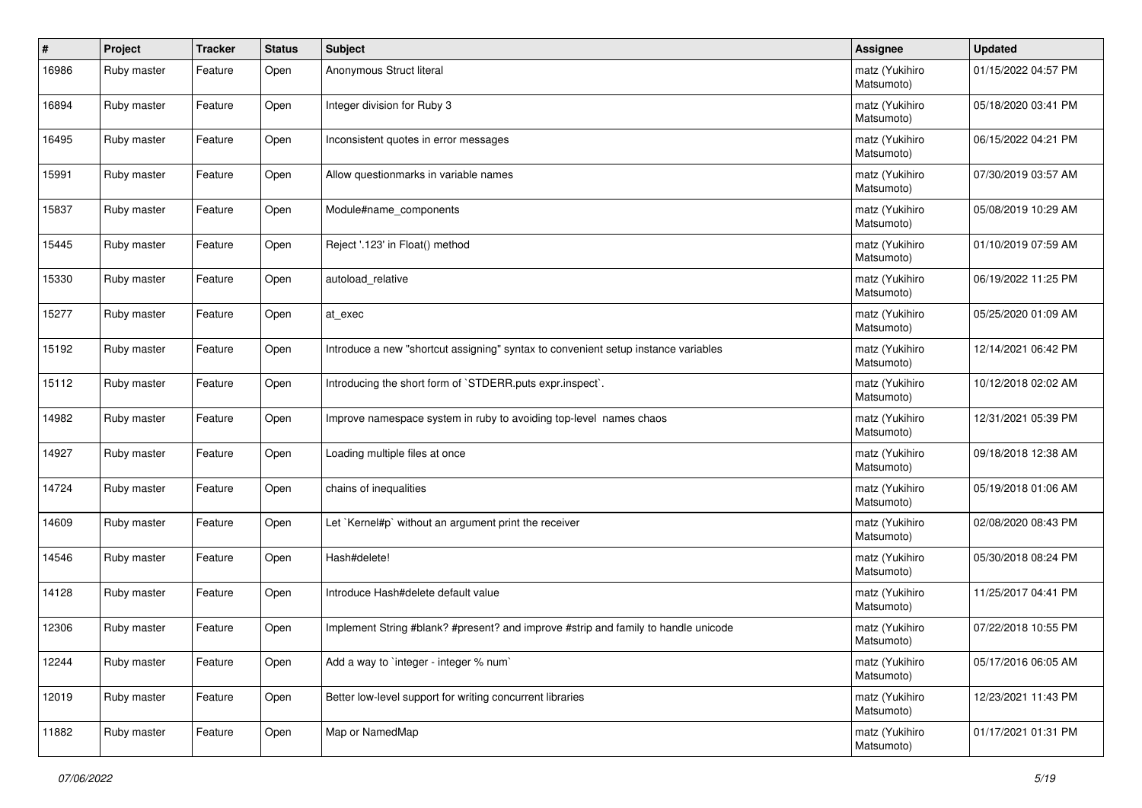| #     | Project     | <b>Tracker</b> | <b>Status</b> | <b>Subject</b>                                                                     | <b>Assignee</b>              | <b>Updated</b>      |
|-------|-------------|----------------|---------------|------------------------------------------------------------------------------------|------------------------------|---------------------|
| 16986 | Ruby master | Feature        | Open          | Anonymous Struct literal                                                           | matz (Yukihiro<br>Matsumoto) | 01/15/2022 04:57 PM |
| 16894 | Ruby master | Feature        | Open          | Integer division for Ruby 3                                                        | matz (Yukihiro<br>Matsumoto) | 05/18/2020 03:41 PM |
| 16495 | Ruby master | Feature        | Open          | Inconsistent quotes in error messages                                              | matz (Yukihiro<br>Matsumoto) | 06/15/2022 04:21 PM |
| 15991 | Ruby master | Feature        | Open          | Allow questionmarks in variable names                                              | matz (Yukihiro<br>Matsumoto) | 07/30/2019 03:57 AM |
| 15837 | Ruby master | Feature        | Open          | Module#name_components                                                             | matz (Yukihiro<br>Matsumoto) | 05/08/2019 10:29 AM |
| 15445 | Ruby master | Feature        | Open          | Reject '.123' in Float() method                                                    | matz (Yukihiro<br>Matsumoto) | 01/10/2019 07:59 AM |
| 15330 | Ruby master | Feature        | Open          | autoload relative                                                                  | matz (Yukihiro<br>Matsumoto) | 06/19/2022 11:25 PM |
| 15277 | Ruby master | Feature        | Open          | at_exec                                                                            | matz (Yukihiro<br>Matsumoto) | 05/25/2020 01:09 AM |
| 15192 | Ruby master | Feature        | Open          | Introduce a new "shortcut assigning" syntax to convenient setup instance variables | matz (Yukihiro<br>Matsumoto) | 12/14/2021 06:42 PM |
| 15112 | Ruby master | Feature        | Open          | Introducing the short form of `STDERR.puts expr.inspect`.                          | matz (Yukihiro<br>Matsumoto) | 10/12/2018 02:02 AM |
| 14982 | Ruby master | Feature        | Open          | Improve namespace system in ruby to avoiding top-level names chaos                 | matz (Yukihiro<br>Matsumoto) | 12/31/2021 05:39 PM |
| 14927 | Ruby master | Feature        | Open          | Loading multiple files at once                                                     | matz (Yukihiro<br>Matsumoto) | 09/18/2018 12:38 AM |
| 14724 | Ruby master | Feature        | Open          | chains of inequalities                                                             | matz (Yukihiro<br>Matsumoto) | 05/19/2018 01:06 AM |
| 14609 | Ruby master | Feature        | Open          | Let `Kernel#p` without an argument print the receiver                              | matz (Yukihiro<br>Matsumoto) | 02/08/2020 08:43 PM |
| 14546 | Ruby master | Feature        | Open          | Hash#delete!                                                                       | matz (Yukihiro<br>Matsumoto) | 05/30/2018 08:24 PM |
| 14128 | Ruby master | Feature        | Open          | Introduce Hash#delete default value                                                | matz (Yukihiro<br>Matsumoto) | 11/25/2017 04:41 PM |
| 12306 | Ruby master | Feature        | Open          | Implement String #blank? #present? and improve #strip and family to handle unicode | matz (Yukihiro<br>Matsumoto) | 07/22/2018 10:55 PM |
| 12244 | Ruby master | Feature        | Open          | Add a way to `integer - integer % num`                                             | matz (Yukihiro<br>Matsumoto) | 05/17/2016 06:05 AM |
| 12019 | Ruby master | Feature        | Open          | Better low-level support for writing concurrent libraries                          | matz (Yukihiro<br>Matsumoto) | 12/23/2021 11:43 PM |
| 11882 | Ruby master | Feature        | Open          | Map or NamedMap                                                                    | matz (Yukihiro<br>Matsumoto) | 01/17/2021 01:31 PM |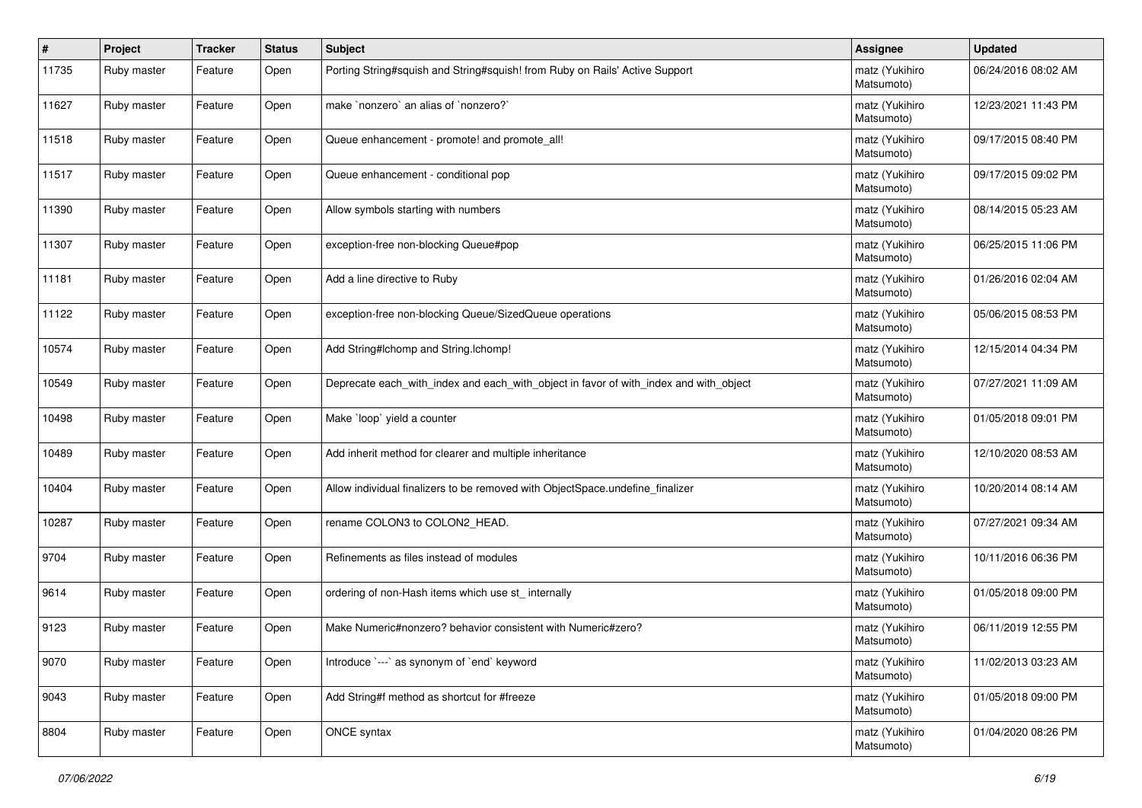| ∦     | Project     | <b>Tracker</b> | <b>Status</b> | Subject                                                                               | <b>Assignee</b>              | <b>Updated</b>      |
|-------|-------------|----------------|---------------|---------------------------------------------------------------------------------------|------------------------------|---------------------|
| 11735 | Ruby master | Feature        | Open          | Porting String#squish and String#squish! from Ruby on Rails' Active Support           | matz (Yukihiro<br>Matsumoto) | 06/24/2016 08:02 AM |
| 11627 | Ruby master | Feature        | Open          | make `nonzero` an alias of `nonzero?`                                                 | matz (Yukihiro<br>Matsumoto) | 12/23/2021 11:43 PM |
| 11518 | Ruby master | Feature        | Open          | Queue enhancement - promote! and promote_all!                                         | matz (Yukihiro<br>Matsumoto) | 09/17/2015 08:40 PM |
| 11517 | Ruby master | Feature        | Open          | Queue enhancement - conditional pop                                                   | matz (Yukihiro<br>Matsumoto) | 09/17/2015 09:02 PM |
| 11390 | Ruby master | Feature        | Open          | Allow symbols starting with numbers                                                   | matz (Yukihiro<br>Matsumoto) | 08/14/2015 05:23 AM |
| 11307 | Ruby master | Feature        | Open          | exception-free non-blocking Queue#pop                                                 | matz (Yukihiro<br>Matsumoto) | 06/25/2015 11:06 PM |
| 11181 | Ruby master | Feature        | Open          | Add a line directive to Ruby                                                          | matz (Yukihiro<br>Matsumoto) | 01/26/2016 02:04 AM |
| 11122 | Ruby master | Feature        | Open          | exception-free non-blocking Queue/SizedQueue operations                               | matz (Yukihiro<br>Matsumoto) | 05/06/2015 08:53 PM |
| 10574 | Ruby master | Feature        | Open          | Add String#Ichomp and String.Ichomp!                                                  | matz (Yukihiro<br>Matsumoto) | 12/15/2014 04:34 PM |
| 10549 | Ruby master | Feature        | Open          | Deprecate each_with_index and each_with_object in favor of with_index and with_object | matz (Yukihiro<br>Matsumoto) | 07/27/2021 11:09 AM |
| 10498 | Ruby master | Feature        | Open          | Make 'loop' yield a counter                                                           | matz (Yukihiro<br>Matsumoto) | 01/05/2018 09:01 PM |
| 10489 | Ruby master | Feature        | Open          | Add inherit method for clearer and multiple inheritance                               | matz (Yukihiro<br>Matsumoto) | 12/10/2020 08:53 AM |
| 10404 | Ruby master | Feature        | Open          | Allow individual finalizers to be removed with ObjectSpace.undefine_finalizer         | matz (Yukihiro<br>Matsumoto) | 10/20/2014 08:14 AM |
| 10287 | Ruby master | Feature        | Open          | rename COLON3 to COLON2_HEAD.                                                         | matz (Yukihiro<br>Matsumoto) | 07/27/2021 09:34 AM |
| 9704  | Ruby master | Feature        | Open          | Refinements as files instead of modules                                               | matz (Yukihiro<br>Matsumoto) | 10/11/2016 06:36 PM |
| 9614  | Ruby master | Feature        | Open          | ordering of non-Hash items which use st_ internally                                   | matz (Yukihiro<br>Matsumoto) | 01/05/2018 09:00 PM |
| 9123  | Ruby master | Feature        | Open          | Make Numeric#nonzero? behavior consistent with Numeric#zero?                          | matz (Yukihiro<br>Matsumoto) | 06/11/2019 12:55 PM |
| 9070  | Ruby master | Feature        | Open          | Introduce `---` as synonym of `end` keyword                                           | matz (Yukihiro<br>Matsumoto) | 11/02/2013 03:23 AM |
| 9043  | Ruby master | Feature        | Open          | Add String#f method as shortcut for #freeze                                           | matz (Yukihiro<br>Matsumoto) | 01/05/2018 09:00 PM |
| 8804  | Ruby master | Feature        | Open          | ONCE syntax                                                                           | matz (Yukihiro<br>Matsumoto) | 01/04/2020 08:26 PM |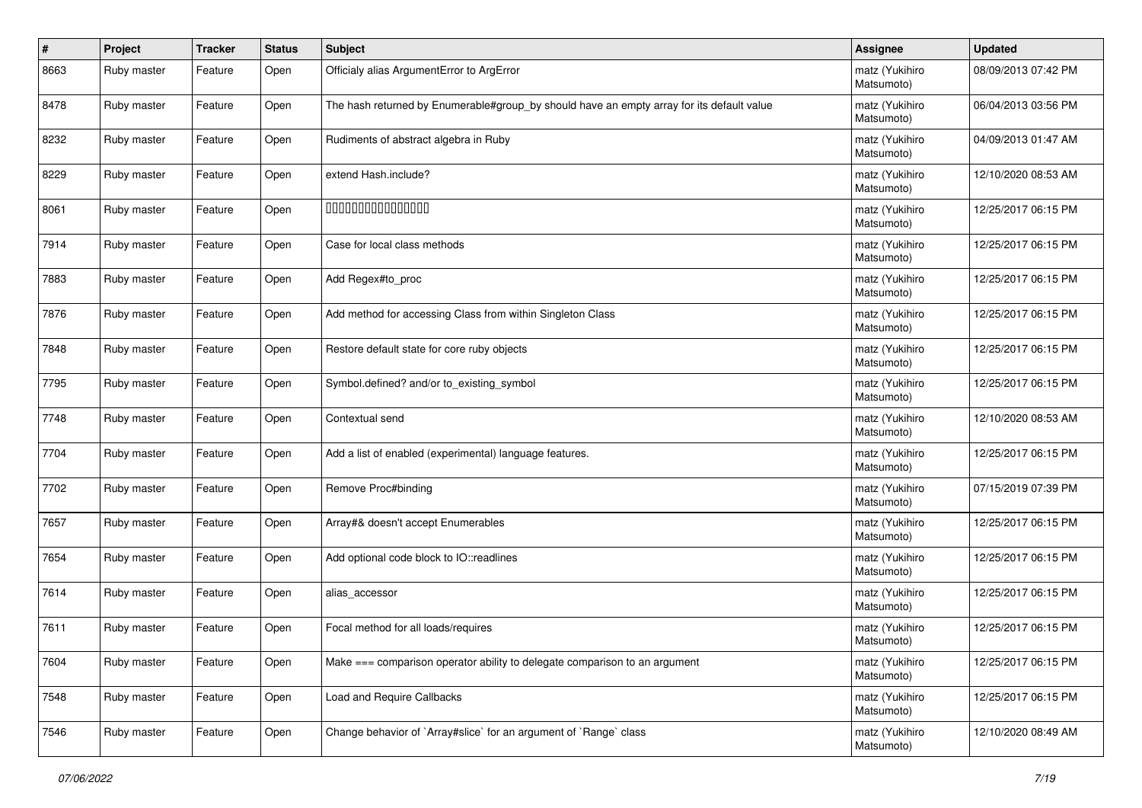| $\vert$ # | Project     | <b>Tracker</b> | <b>Status</b> | <b>Subject</b>                                                                            | Assignee                     | <b>Updated</b>      |
|-----------|-------------|----------------|---------------|-------------------------------------------------------------------------------------------|------------------------------|---------------------|
| 8663      | Ruby master | Feature        | Open          | Officialy alias ArgumentError to ArgError                                                 | matz (Yukihiro<br>Matsumoto) | 08/09/2013 07:42 PM |
| 8478      | Ruby master | Feature        | Open          | The hash returned by Enumerable#group_by should have an empty array for its default value | matz (Yukihiro<br>Matsumoto) | 06/04/2013 03:56 PM |
| 8232      | Ruby master | Feature        | Open          | Rudiments of abstract algebra in Ruby                                                     | matz (Yukihiro<br>Matsumoto) | 04/09/2013 01:47 AM |
| 8229      | Ruby master | Feature        | Open          | extend Hash.include?                                                                      | matz (Yukihiro<br>Matsumoto) | 12/10/2020 08:53 AM |
| 8061      | Ruby master | Feature        | Open          | 000000000000000                                                                           | matz (Yukihiro<br>Matsumoto) | 12/25/2017 06:15 PM |
| 7914      | Ruby master | Feature        | Open          | Case for local class methods                                                              | matz (Yukihiro<br>Matsumoto) | 12/25/2017 06:15 PM |
| 7883      | Ruby master | Feature        | Open          | Add Regex#to_proc                                                                         | matz (Yukihiro<br>Matsumoto) | 12/25/2017 06:15 PM |
| 7876      | Ruby master | Feature        | Open          | Add method for accessing Class from within Singleton Class                                | matz (Yukihiro<br>Matsumoto) | 12/25/2017 06:15 PM |
| 7848      | Ruby master | Feature        | Open          | Restore default state for core ruby objects                                               | matz (Yukihiro<br>Matsumoto) | 12/25/2017 06:15 PM |
| 7795      | Ruby master | Feature        | Open          | Symbol.defined? and/or to_existing_symbol                                                 | matz (Yukihiro<br>Matsumoto) | 12/25/2017 06:15 PM |
| 7748      | Ruby master | Feature        | Open          | Contextual send                                                                           | matz (Yukihiro<br>Matsumoto) | 12/10/2020 08:53 AM |
| 7704      | Ruby master | Feature        | Open          | Add a list of enabled (experimental) language features.                                   | matz (Yukihiro<br>Matsumoto) | 12/25/2017 06:15 PM |
| 7702      | Ruby master | Feature        | Open          | Remove Proc#binding                                                                       | matz (Yukihiro<br>Matsumoto) | 07/15/2019 07:39 PM |
| 7657      | Ruby master | Feature        | Open          | Array#& doesn't accept Enumerables                                                        | matz (Yukihiro<br>Matsumoto) | 12/25/2017 06:15 PM |
| 7654      | Ruby master | Feature        | Open          | Add optional code block to IO::readlines                                                  | matz (Yukihiro<br>Matsumoto) | 12/25/2017 06:15 PM |
| 7614      | Ruby master | Feature        | Open          | alias_accessor                                                                            | matz (Yukihiro<br>Matsumoto) | 12/25/2017 06:15 PM |
| 7611      | Ruby master | Feature        | Open          | Focal method for all loads/requires                                                       | matz (Yukihiro<br>Matsumoto) | 12/25/2017 06:15 PM |
| 7604      | Ruby master | Feature        | Open          | Make === comparison operator ability to delegate comparison to an argument                | matz (Yukihiro<br>Matsumoto) | 12/25/2017 06:15 PM |
| 7548      | Ruby master | Feature        | Open          | Load and Require Callbacks                                                                | matz (Yukihiro<br>Matsumoto) | 12/25/2017 06:15 PM |
| 7546      | Ruby master | Feature        | Open          | Change behavior of `Array#slice` for an argument of `Range` class                         | matz (Yukihiro<br>Matsumoto) | 12/10/2020 08:49 AM |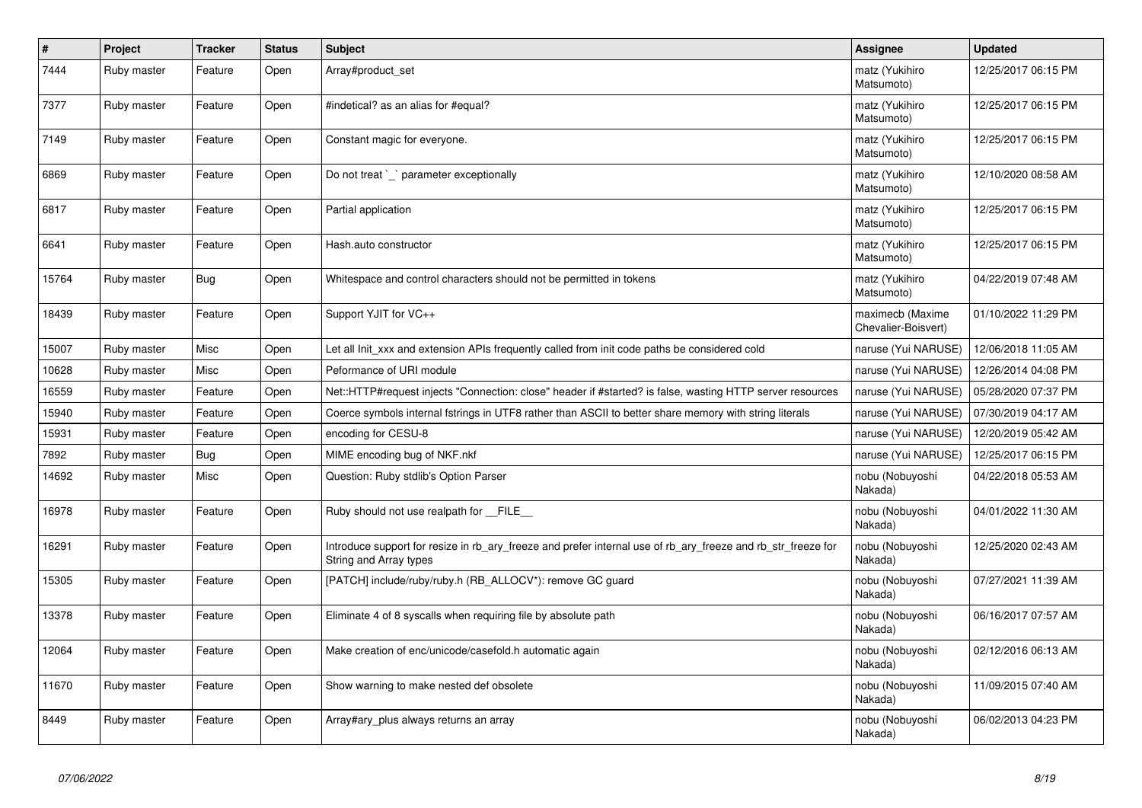| #     | Project     | <b>Tracker</b> | <b>Status</b> | <b>Subject</b>                                                                                                                         | <b>Assignee</b>                         | <b>Updated</b>      |
|-------|-------------|----------------|---------------|----------------------------------------------------------------------------------------------------------------------------------------|-----------------------------------------|---------------------|
| 7444  | Ruby master | Feature        | Open          | Array#product set                                                                                                                      | matz (Yukihiro<br>Matsumoto)            | 12/25/2017 06:15 PM |
| 7377  | Ruby master | Feature        | Open          | #indetical? as an alias for #equal?                                                                                                    | matz (Yukihiro<br>Matsumoto)            | 12/25/2017 06:15 PM |
| 7149  | Ruby master | Feature        | Open          | Constant magic for everyone.                                                                                                           | matz (Yukihiro<br>Matsumoto)            | 12/25/2017 06:15 PM |
| 6869  | Ruby master | Feature        | Open          | Do not treat `_` parameter exceptionally                                                                                               | matz (Yukihiro<br>Matsumoto)            | 12/10/2020 08:58 AM |
| 6817  | Ruby master | Feature        | Open          | Partial application                                                                                                                    | matz (Yukihiro<br>Matsumoto)            | 12/25/2017 06:15 PM |
| 6641  | Ruby master | Feature        | Open          | Hash.auto constructor                                                                                                                  | matz (Yukihiro<br>Matsumoto)            | 12/25/2017 06:15 PM |
| 15764 | Ruby master | Bug            | Open          | Whitespace and control characters should not be permitted in tokens                                                                    | matz (Yukihiro<br>Matsumoto)            | 04/22/2019 07:48 AM |
| 18439 | Ruby master | Feature        | Open          | Support YJIT for VC++                                                                                                                  | maximecb (Maxime<br>Chevalier-Boisvert) | 01/10/2022 11:29 PM |
| 15007 | Ruby master | Misc           | Open          | Let all Init_xxx and extension APIs frequently called from init code paths be considered cold                                          | naruse (Yui NARUSE)                     | 12/06/2018 11:05 AM |
| 10628 | Ruby master | Misc           | Open          | Peformance of URI module                                                                                                               | naruse (Yui NARUSE)                     | 12/26/2014 04:08 PM |
| 16559 | Ruby master | Feature        | Open          | Net::HTTP#request injects "Connection: close" header if #started? is false, wasting HTTP server resources                              | naruse (Yui NARUSE)                     | 05/28/2020 07:37 PM |
| 15940 | Ruby master | Feature        | Open          | Coerce symbols internal fstrings in UTF8 rather than ASCII to better share memory with string literals                                 | naruse (Yui NARUSE)                     | 07/30/2019 04:17 AM |
| 15931 | Ruby master | Feature        | Open          | encoding for CESU-8                                                                                                                    | naruse (Yui NARUSE)                     | 12/20/2019 05:42 AM |
| 7892  | Ruby master | <b>Bug</b>     | Open          | MIME encoding bug of NKF.nkf                                                                                                           | naruse (Yui NARUSE)                     | 12/25/2017 06:15 PM |
| 14692 | Ruby master | Misc           | Open          | Question: Ruby stdlib's Option Parser                                                                                                  | nobu (Nobuyoshi<br>Nakada)              | 04/22/2018 05:53 AM |
| 16978 | Ruby master | Feature        | Open          | Ruby should not use realpath for __FILE__                                                                                              | nobu (Nobuyoshi<br>Nakada)              | 04/01/2022 11:30 AM |
| 16291 | Ruby master | Feature        | Open          | Introduce support for resize in rb_ary_freeze and prefer internal use of rb_ary_freeze and rb_str_freeze for<br>String and Array types | nobu (Nobuyoshi<br>Nakada)              | 12/25/2020 02:43 AM |
| 15305 | Ruby master | Feature        | Open          | [PATCH] include/ruby/ruby.h (RB ALLOCV*): remove GC guard                                                                              | nobu (Nobuyoshi<br>Nakada)              | 07/27/2021 11:39 AM |
| 13378 | Ruby master | Feature        | Open          | Eliminate 4 of 8 syscalls when requiring file by absolute path                                                                         | nobu (Nobuyoshi<br>Nakada)              | 06/16/2017 07:57 AM |
| 12064 | Ruby master | Feature        | Open          | Make creation of enc/unicode/casefold.h automatic again                                                                                | nobu (Nobuyoshi<br>Nakada)              | 02/12/2016 06:13 AM |
| 11670 | Ruby master | Feature        | Open          | Show warning to make nested def obsolete                                                                                               | nobu (Nobuyoshi<br>Nakada)              | 11/09/2015 07:40 AM |
| 8449  | Ruby master | Feature        | Open          | Array#ary_plus always returns an array                                                                                                 | nobu (Nobuyoshi<br>Nakada)              | 06/02/2013 04:23 PM |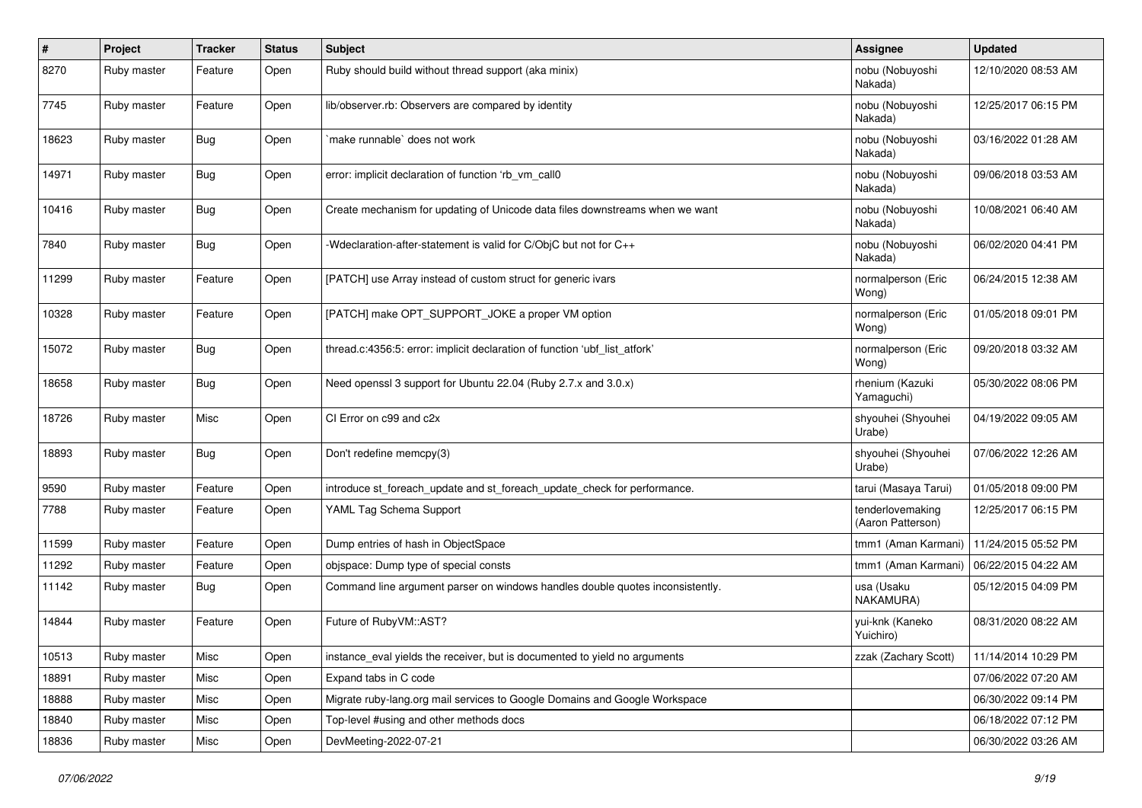| $\#$  | Project     | <b>Tracker</b> | <b>Status</b> | <b>Subject</b>                                                                | <b>Assignee</b>                       | <b>Updated</b>      |
|-------|-------------|----------------|---------------|-------------------------------------------------------------------------------|---------------------------------------|---------------------|
| 8270  | Ruby master | Feature        | Open          | Ruby should build without thread support (aka minix)                          | nobu (Nobuyoshi<br>Nakada)            | 12/10/2020 08:53 AM |
| 7745  | Ruby master | Feature        | Open          | lib/observer.rb: Observers are compared by identity                           | nobu (Nobuyoshi<br>Nakada)            | 12/25/2017 06:15 PM |
| 18623 | Ruby master | <b>Bug</b>     | Open          | make runnable` does not work                                                  | nobu (Nobuyoshi<br>Nakada)            | 03/16/2022 01:28 AM |
| 14971 | Ruby master | <b>Bug</b>     | Open          | error: implicit declaration of function 'rb vm call0                          | nobu (Nobuyoshi<br>Nakada)            | 09/06/2018 03:53 AM |
| 10416 | Ruby master | <b>Bug</b>     | Open          | Create mechanism for updating of Unicode data files downstreams when we want  | nobu (Nobuyoshi<br>Nakada)            | 10/08/2021 06:40 AM |
| 7840  | Ruby master | <b>Bug</b>     | Open          | -Wdeclaration-after-statement is valid for C/ObjC but not for C++             | nobu (Nobuyoshi<br>Nakada)            | 06/02/2020 04:41 PM |
| 11299 | Ruby master | Feature        | Open          | [PATCH] use Array instead of custom struct for generic ivars                  | normalperson (Eric<br>Wong)           | 06/24/2015 12:38 AM |
| 10328 | Ruby master | Feature        | Open          | [PATCH] make OPT_SUPPORT_JOKE a proper VM option                              | normalperson (Eric<br>Wong)           | 01/05/2018 09:01 PM |
| 15072 | Ruby master | <b>Bug</b>     | Open          | thread.c:4356:5: error: implicit declaration of function 'ubf_list_atfork'    | normalperson (Eric<br>Wong)           | 09/20/2018 03:32 AM |
| 18658 | Ruby master | <b>Bug</b>     | Open          | Need openssl 3 support for Ubuntu 22.04 (Ruby 2.7.x and 3.0.x)                | rhenium (Kazuki<br>Yamaguchi)         | 05/30/2022 08:06 PM |
| 18726 | Ruby master | Misc           | Open          | CI Error on c99 and c2x                                                       | shyouhei (Shyouhei<br>Urabe)          | 04/19/2022 09:05 AM |
| 18893 | Ruby master | <b>Bug</b>     | Open          | Don't redefine memcpy(3)                                                      | shyouhei (Shyouhei<br>Urabe)          | 07/06/2022 12:26 AM |
| 9590  | Ruby master | Feature        | Open          | introduce st_foreach_update and st_foreach_update_check for performance.      | tarui (Masaya Tarui)                  | 01/05/2018 09:00 PM |
| 7788  | Ruby master | Feature        | Open          | YAML Tag Schema Support                                                       | tenderlovemaking<br>(Aaron Patterson) | 12/25/2017 06:15 PM |
| 11599 | Ruby master | Feature        | Open          | Dump entries of hash in ObjectSpace                                           | tmm1 (Aman Karmani)                   | 11/24/2015 05:52 PM |
| 11292 | Ruby master | Feature        | Open          | objspace: Dump type of special consts                                         | tmm1 (Aman Karmani)                   | 06/22/2015 04:22 AM |
| 11142 | Ruby master | <b>Bug</b>     | Open          | Command line argument parser on windows handles double quotes inconsistently. | usa (Usaku<br>NAKAMURA)               | 05/12/2015 04:09 PM |
| 14844 | Ruby master | Feature        | Open          | Future of RubyVM::AST?                                                        | yui-knk (Kaneko<br>Yuichiro)          | 08/31/2020 08:22 AM |
| 10513 | Ruby master | Misc           | Open          | instance_eval yields the receiver, but is documented to yield no arguments    | zzak (Zachary Scott)                  | 11/14/2014 10:29 PM |
| 18891 | Ruby master | Misc           | Open          | Expand tabs in C code                                                         |                                       | 07/06/2022 07:20 AM |
| 18888 | Ruby master | Misc           | Open          | Migrate ruby-lang.org mail services to Google Domains and Google Workspace    |                                       | 06/30/2022 09:14 PM |
| 18840 | Ruby master | Misc           | Open          | Top-level #using and other methods docs                                       |                                       | 06/18/2022 07:12 PM |
| 18836 | Ruby master | Misc           | Open          | DevMeeting-2022-07-21                                                         |                                       | 06/30/2022 03:26 AM |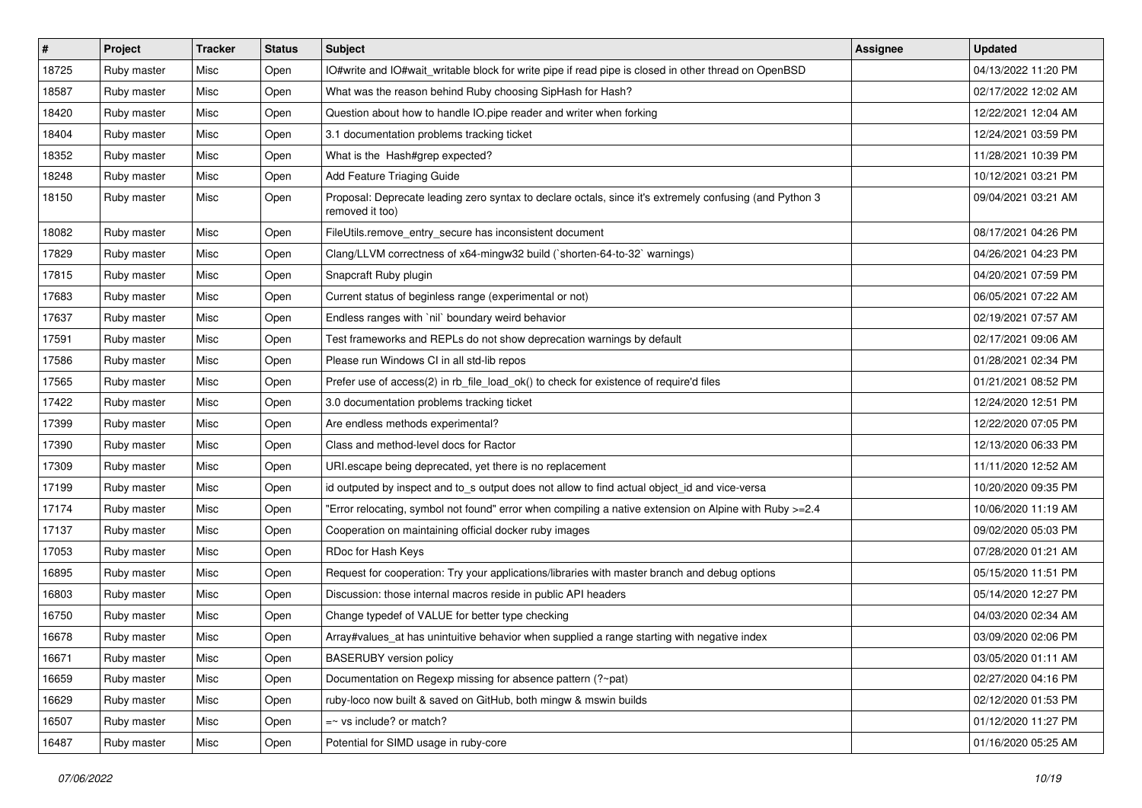| $\vert$ # | Project     | <b>Tracker</b> | <b>Status</b> | Subject                                                                                                                    | <b>Assignee</b> | <b>Updated</b>      |
|-----------|-------------|----------------|---------------|----------------------------------------------------------------------------------------------------------------------------|-----------------|---------------------|
| 18725     | Ruby master | Misc           | Open          | IO#write and IO#wait_writable block for write pipe if read pipe is closed in other thread on OpenBSD                       |                 | 04/13/2022 11:20 PM |
| 18587     | Ruby master | Misc           | Open          | What was the reason behind Ruby choosing SipHash for Hash?                                                                 |                 | 02/17/2022 12:02 AM |
| 18420     | Ruby master | Misc           | Open          | Question about how to handle IO.pipe reader and writer when forking                                                        |                 | 12/22/2021 12:04 AM |
| 18404     | Ruby master | Misc           | Open          | 3.1 documentation problems tracking ticket                                                                                 |                 | 12/24/2021 03:59 PM |
| 18352     | Ruby master | Misc           | Open          | What is the Hash#grep expected?                                                                                            |                 | 11/28/2021 10:39 PM |
| 18248     | Ruby master | Misc           | Open          | Add Feature Triaging Guide                                                                                                 |                 | 10/12/2021 03:21 PM |
| 18150     | Ruby master | Misc           | Open          | Proposal: Deprecate leading zero syntax to declare octals, since it's extremely confusing (and Python 3<br>removed it too) |                 | 09/04/2021 03:21 AM |
| 18082     | Ruby master | Misc           | Open          | FileUtils.remove_entry_secure has inconsistent document                                                                    |                 | 08/17/2021 04:26 PM |
| 17829     | Ruby master | Misc           | Open          | Clang/LLVM correctness of x64-mingw32 build (`shorten-64-to-32` warnings)                                                  |                 | 04/26/2021 04:23 PM |
| 17815     | Ruby master | Misc           | Open          | Snapcraft Ruby plugin                                                                                                      |                 | 04/20/2021 07:59 PM |
| 17683     | Ruby master | Misc           | Open          | Current status of beginless range (experimental or not)                                                                    |                 | 06/05/2021 07:22 AM |
| 17637     | Ruby master | Misc           | Open          | Endless ranges with 'nil' boundary weird behavior                                                                          |                 | 02/19/2021 07:57 AM |
| 17591     | Ruby master | Misc           | Open          | Test frameworks and REPLs do not show deprecation warnings by default                                                      |                 | 02/17/2021 09:06 AM |
| 17586     | Ruby master | Misc           | Open          | Please run Windows CI in all std-lib repos                                                                                 |                 | 01/28/2021 02:34 PM |
| 17565     | Ruby master | Misc           | Open          | Prefer use of access(2) in rb_file_load_ok() to check for existence of require'd files                                     |                 | 01/21/2021 08:52 PM |
| 17422     | Ruby master | Misc           | Open          | 3.0 documentation problems tracking ticket                                                                                 |                 | 12/24/2020 12:51 PM |
| 17399     | Ruby master | Misc           | Open          | Are endless methods experimental?                                                                                          |                 | 12/22/2020 07:05 PM |
| 17390     | Ruby master | Misc           | Open          | Class and method-level docs for Ractor                                                                                     |                 | 12/13/2020 06:33 PM |
| 17309     | Ruby master | Misc           | Open          | URI escape being deprecated, yet there is no replacement                                                                   |                 | 11/11/2020 12:52 AM |
| 17199     | Ruby master | Misc           | Open          | id outputed by inspect and to_s output does not allow to find actual object_id and vice-versa                              |                 | 10/20/2020 09:35 PM |
| 17174     | Ruby master | Misc           | Open          | Error relocating, symbol not found" error when compiling a native extension on Alpine with Ruby >=2.4"                     |                 | 10/06/2020 11:19 AM |
| 17137     | Ruby master | Misc           | Open          | Cooperation on maintaining official docker ruby images                                                                     |                 | 09/02/2020 05:03 PM |
| 17053     | Ruby master | Misc           | Open          | RDoc for Hash Keys                                                                                                         |                 | 07/28/2020 01:21 AM |
| 16895     | Ruby master | Misc           | Open          | Request for cooperation: Try your applications/libraries with master branch and debug options                              |                 | 05/15/2020 11:51 PM |
| 16803     | Ruby master | Misc           | Open          | Discussion: those internal macros reside in public API headers                                                             |                 | 05/14/2020 12:27 PM |
| 16750     | Ruby master | Misc           | Open          | Change typedef of VALUE for better type checking                                                                           |                 | 04/03/2020 02:34 AM |
| 16678     | Ruby master | Misc           | Open          | Array#values_at has unintuitive behavior when supplied a range starting with negative index                                |                 | 03/09/2020 02:06 PM |
| 16671     | Ruby master | Misc           | Open          | <b>BASERUBY</b> version policy                                                                                             |                 | 03/05/2020 01:11 AM |
| 16659     | Ruby master | Misc           | Open          | Documentation on Regexp missing for absence pattern (?~pat)                                                                |                 | 02/27/2020 04:16 PM |
| 16629     | Ruby master | Misc           | Open          | ruby-loco now built & saved on GitHub, both mingw & mswin builds                                                           |                 | 02/12/2020 01:53 PM |
| 16507     | Ruby master | Misc           | Open          | $=$ vs include? or match?                                                                                                  |                 | 01/12/2020 11:27 PM |
| 16487     | Ruby master | Misc           | Open          | Potential for SIMD usage in ruby-core                                                                                      |                 | 01/16/2020 05:25 AM |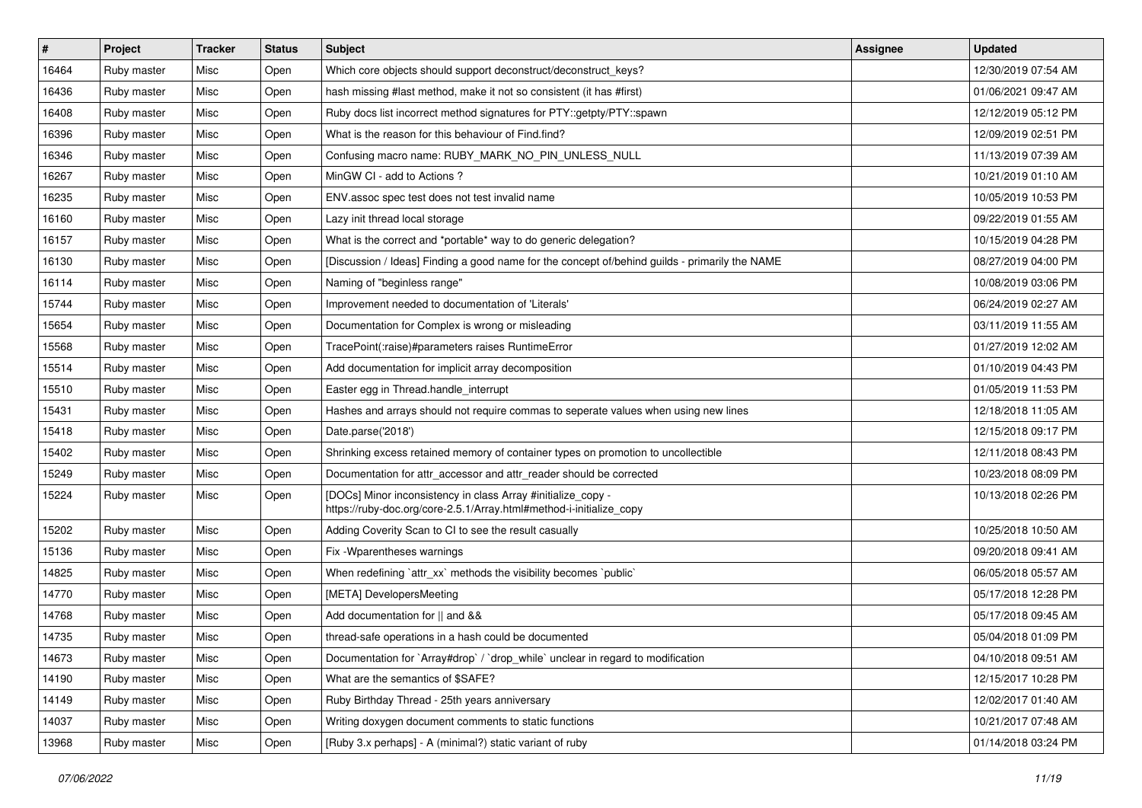| $\#$  | Project     | <b>Tracker</b> | <b>Status</b> | Subject                                                                                                                             | <b>Assignee</b> | <b>Updated</b>      |
|-------|-------------|----------------|---------------|-------------------------------------------------------------------------------------------------------------------------------------|-----------------|---------------------|
| 16464 | Ruby master | Misc           | Open          | Which core objects should support deconstruct/deconstruct_keys?                                                                     |                 | 12/30/2019 07:54 AM |
| 16436 | Ruby master | Misc           | Open          | hash missing #last method, make it not so consistent (it has #first)                                                                |                 | 01/06/2021 09:47 AM |
| 16408 | Ruby master | Misc           | Open          | Ruby docs list incorrect method signatures for PTY::getpty/PTY::spawn                                                               |                 | 12/12/2019 05:12 PM |
| 16396 | Ruby master | Misc           | Open          | What is the reason for this behaviour of Find.find?                                                                                 |                 | 12/09/2019 02:51 PM |
| 16346 | Ruby master | Misc           | Open          | Confusing macro name: RUBY_MARK_NO_PIN_UNLESS_NULL                                                                                  |                 | 11/13/2019 07:39 AM |
| 16267 | Ruby master | Misc           | Open          | MinGW CI - add to Actions?                                                                                                          |                 | 10/21/2019 01:10 AM |
| 16235 | Ruby master | Misc           | Open          | ENV assoc spec test does not test invalid name                                                                                      |                 | 10/05/2019 10:53 PM |
| 16160 | Ruby master | Misc           | Open          | Lazy init thread local storage                                                                                                      |                 | 09/22/2019 01:55 AM |
| 16157 | Ruby master | Misc           | Open          | What is the correct and *portable* way to do generic delegation?                                                                    |                 | 10/15/2019 04:28 PM |
| 16130 | Ruby master | Misc           | Open          | [Discussion / Ideas] Finding a good name for the concept of/behind guilds - primarily the NAME                                      |                 | 08/27/2019 04:00 PM |
| 16114 | Ruby master | Misc           | Open          | Naming of "beginless range"                                                                                                         |                 | 10/08/2019 03:06 PM |
| 15744 | Ruby master | Misc           | Open          | Improvement needed to documentation of 'Literals'                                                                                   |                 | 06/24/2019 02:27 AM |
| 15654 | Ruby master | Misc           | Open          | Documentation for Complex is wrong or misleading                                                                                    |                 | 03/11/2019 11:55 AM |
| 15568 | Ruby master | Misc           | Open          | TracePoint(:raise)#parameters raises RuntimeError                                                                                   |                 | 01/27/2019 12:02 AM |
| 15514 | Ruby master | Misc           | Open          | Add documentation for implicit array decomposition                                                                                  |                 | 01/10/2019 04:43 PM |
| 15510 | Ruby master | Misc           | Open          | Easter egg in Thread.handle_interrupt                                                                                               |                 | 01/05/2019 11:53 PM |
| 15431 | Ruby master | Misc           | Open          | Hashes and arrays should not require commas to seperate values when using new lines                                                 |                 | 12/18/2018 11:05 AM |
| 15418 | Ruby master | Misc           | Open          | Date.parse('2018')                                                                                                                  |                 | 12/15/2018 09:17 PM |
| 15402 | Ruby master | Misc           | Open          | Shrinking excess retained memory of container types on promotion to uncollectible                                                   |                 | 12/11/2018 08:43 PM |
| 15249 | Ruby master | Misc           | Open          | Documentation for attr_accessor and attr_reader should be corrected                                                                 |                 | 10/23/2018 08:09 PM |
| 15224 | Ruby master | Misc           | Open          | [DOCs] Minor inconsistency in class Array #initialize_copy -<br>https://ruby-doc.org/core-2.5.1/Array.html#method-i-initialize_copy |                 | 10/13/2018 02:26 PM |
| 15202 | Ruby master | Misc           | Open          | Adding Coverity Scan to CI to see the result casually                                                                               |                 | 10/25/2018 10:50 AM |
| 15136 | Ruby master | Misc           | Open          | Fix - Wparentheses warnings                                                                                                         |                 | 09/20/2018 09:41 AM |
| 14825 | Ruby master | Misc           | Open          | When redefining `attr_xx` methods the visibility becomes `public`                                                                   |                 | 06/05/2018 05:57 AM |
| 14770 | Ruby master | Misc           | Open          | [META] DevelopersMeeting                                                                                                            |                 | 05/17/2018 12:28 PM |
| 14768 | Ruby master | Misc           | Open          | Add documentation for    and &&                                                                                                     |                 | 05/17/2018 09:45 AM |
| 14735 | Ruby master | Misc           | Open          | thread-safe operations in a hash could be documented                                                                                |                 | 05/04/2018 01:09 PM |
| 14673 | Ruby master | Misc           | Open          | Documentation for `Array#drop` / `drop_while` unclear in regard to modification                                                     |                 | 04/10/2018 09:51 AM |
| 14190 | Ruby master | Misc           | Open          | What are the semantics of \$SAFE?                                                                                                   |                 | 12/15/2017 10:28 PM |
| 14149 | Ruby master | Misc           | Open          | Ruby Birthday Thread - 25th years anniversary                                                                                       |                 | 12/02/2017 01:40 AM |
| 14037 | Ruby master | Misc           | Open          | Writing doxygen document comments to static functions                                                                               |                 | 10/21/2017 07:48 AM |
| 13968 | Ruby master | Misc           | Open          | [Ruby 3.x perhaps] - A (minimal?) static variant of ruby                                                                            |                 | 01/14/2018 03:24 PM |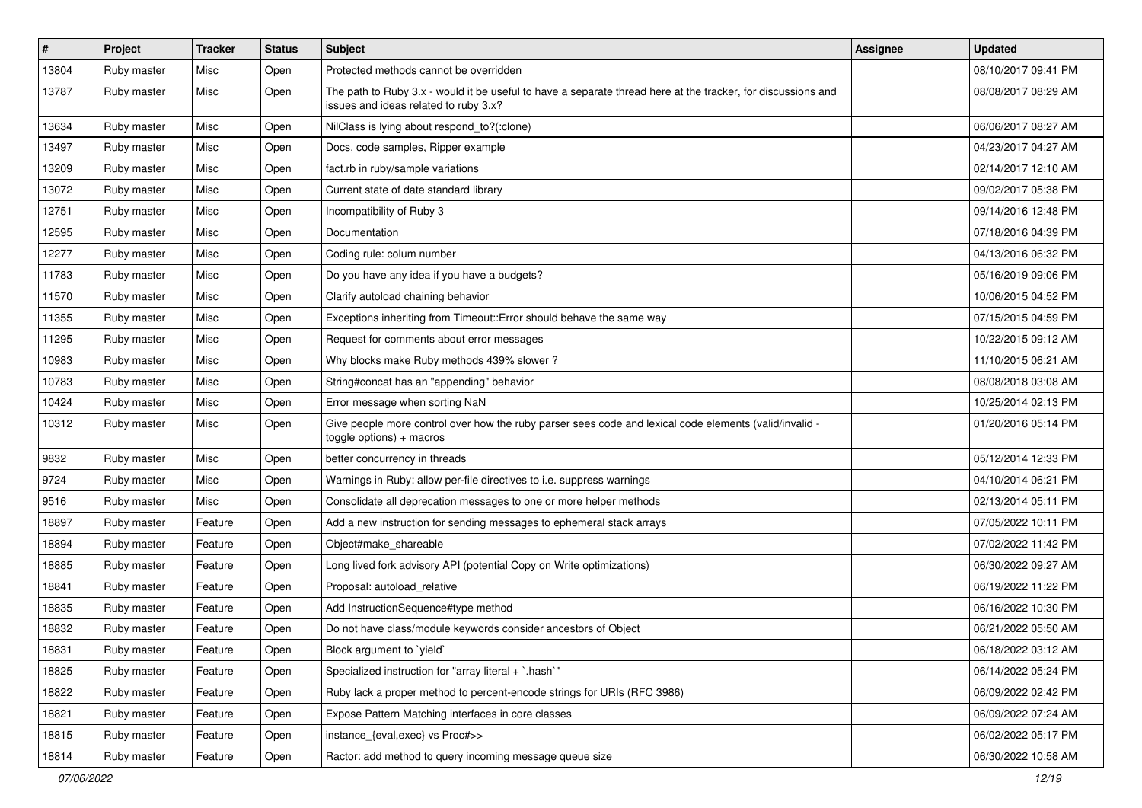| $\vert$ # | Project     | <b>Tracker</b> | <b>Status</b> | Subject                                                                                                                                               | <b>Assignee</b> | <b>Updated</b>      |
|-----------|-------------|----------------|---------------|-------------------------------------------------------------------------------------------------------------------------------------------------------|-----------------|---------------------|
| 13804     | Ruby master | Misc           | Open          | Protected methods cannot be overridden                                                                                                                |                 | 08/10/2017 09:41 PM |
| 13787     | Ruby master | Misc           | Open          | The path to Ruby 3.x - would it be useful to have a separate thread here at the tracker, for discussions and<br>issues and ideas related to ruby 3.x? |                 | 08/08/2017 08:29 AM |
| 13634     | Ruby master | Misc           | Open          | NilClass is lying about respond_to?(:clone)                                                                                                           |                 | 06/06/2017 08:27 AM |
| 13497     | Ruby master | Misc           | Open          | Docs, code samples, Ripper example                                                                                                                    |                 | 04/23/2017 04:27 AM |
| 13209     | Ruby master | Misc           | Open          | fact.rb in ruby/sample variations                                                                                                                     |                 | 02/14/2017 12:10 AM |
| 13072     | Ruby master | Misc           | Open          | Current state of date standard library                                                                                                                |                 | 09/02/2017 05:38 PM |
| 12751     | Ruby master | Misc           | Open          | Incompatibility of Ruby 3                                                                                                                             |                 | 09/14/2016 12:48 PM |
| 12595     | Ruby master | Misc           | Open          | Documentation                                                                                                                                         |                 | 07/18/2016 04:39 PM |
| 12277     | Ruby master | Misc           | Open          | Coding rule: colum number                                                                                                                             |                 | 04/13/2016 06:32 PM |
| 11783     | Ruby master | Misc           | Open          | Do you have any idea if you have a budgets?                                                                                                           |                 | 05/16/2019 09:06 PM |
| 11570     | Ruby master | Misc           | Open          | Clarify autoload chaining behavior                                                                                                                    |                 | 10/06/2015 04:52 PM |
| 11355     | Ruby master | Misc           | Open          | Exceptions inheriting from Timeout::Error should behave the same way                                                                                  |                 | 07/15/2015 04:59 PM |
| 11295     | Ruby master | Misc           | Open          | Request for comments about error messages                                                                                                             |                 | 10/22/2015 09:12 AM |
| 10983     | Ruby master | Misc           | Open          | Why blocks make Ruby methods 439% slower?                                                                                                             |                 | 11/10/2015 06:21 AM |
| 10783     | Ruby master | Misc           | Open          | String#concat has an "appending" behavior                                                                                                             |                 | 08/08/2018 03:08 AM |
| 10424     | Ruby master | Misc           | Open          | Error message when sorting NaN                                                                                                                        |                 | 10/25/2014 02:13 PM |
| 10312     | Ruby master | Misc           | Open          | Give people more control over how the ruby parser sees code and lexical code elements (valid/invalid -<br>$toggle$ options) + macros                  |                 | 01/20/2016 05:14 PM |
| 9832      | Ruby master | Misc           | Open          | better concurrency in threads                                                                                                                         |                 | 05/12/2014 12:33 PM |
| 9724      | Ruby master | Misc           | Open          | Warnings in Ruby: allow per-file directives to i.e. suppress warnings                                                                                 |                 | 04/10/2014 06:21 PM |
| 9516      | Ruby master | Misc           | Open          | Consolidate all deprecation messages to one or more helper methods                                                                                    |                 | 02/13/2014 05:11 PM |
| 18897     | Ruby master | Feature        | Open          | Add a new instruction for sending messages to ephemeral stack arrays                                                                                  |                 | 07/05/2022 10:11 PM |
| 18894     | Ruby master | Feature        | Open          | Object#make shareable                                                                                                                                 |                 | 07/02/2022 11:42 PM |
| 18885     | Ruby master | Feature        | Open          | Long lived fork advisory API (potential Copy on Write optimizations)                                                                                  |                 | 06/30/2022 09:27 AM |
| 18841     | Ruby master | Feature        | Open          | Proposal: autoload_relative                                                                                                                           |                 | 06/19/2022 11:22 PM |
| 18835     | Ruby master | Feature        | Open          | Add InstructionSequence#type method                                                                                                                   |                 | 06/16/2022 10:30 PM |
| 18832     | Ruby master | Feature        | Open          | Do not have class/module keywords consider ancestors of Object                                                                                        |                 | 06/21/2022 05:50 AM |
| 18831     | Ruby master | Feature        | Open          | Block argument to 'yield'                                                                                                                             |                 | 06/18/2022 03:12 AM |
| 18825     | Ruby master | Feature        | Open          | Specialized instruction for "array literal + `.hash`"                                                                                                 |                 | 06/14/2022 05:24 PM |
| 18822     | Ruby master | Feature        | Open          | Ruby lack a proper method to percent-encode strings for URIs (RFC 3986)                                                                               |                 | 06/09/2022 02:42 PM |
| 18821     | Ruby master | Feature        | Open          | Expose Pattern Matching interfaces in core classes                                                                                                    |                 | 06/09/2022 07:24 AM |
| 18815     | Ruby master | Feature        | Open          | instance_{eval,exec} vs Proc#>>                                                                                                                       |                 | 06/02/2022 05:17 PM |
| 18814     | Ruby master | Feature        | Open          | Ractor: add method to query incoming message queue size                                                                                               |                 | 06/30/2022 10:58 AM |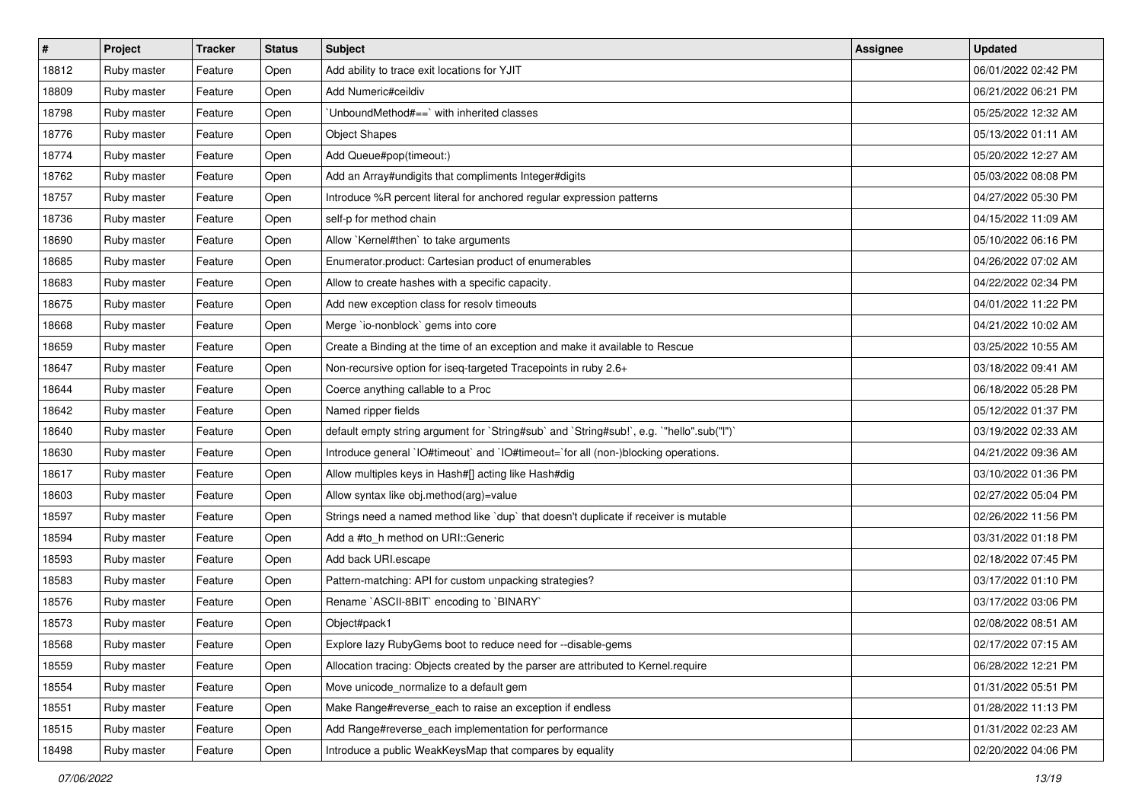| $\vert$ # | Project     | <b>Tracker</b> | <b>Status</b> | Subject                                                                                   | <b>Assignee</b> | <b>Updated</b>      |
|-----------|-------------|----------------|---------------|-------------------------------------------------------------------------------------------|-----------------|---------------------|
| 18812     | Ruby master | Feature        | Open          | Add ability to trace exit locations for YJIT                                              |                 | 06/01/2022 02:42 PM |
| 18809     | Ruby master | Feature        | Open          | Add Numeric#ceildiv                                                                       |                 | 06/21/2022 06:21 PM |
| 18798     | Ruby master | Feature        | Open          | UnboundMethod#==`with inherited classes                                                   |                 | 05/25/2022 12:32 AM |
| 18776     | Ruby master | Feature        | Open          | <b>Object Shapes</b>                                                                      |                 | 05/13/2022 01:11 AM |
| 18774     | Ruby master | Feature        | Open          | Add Queue#pop(timeout:)                                                                   |                 | 05/20/2022 12:27 AM |
| 18762     | Ruby master | Feature        | Open          | Add an Array#undigits that compliments Integer#digits                                     |                 | 05/03/2022 08:08 PM |
| 18757     | Ruby master | Feature        | Open          | Introduce %R percent literal for anchored regular expression patterns                     |                 | 04/27/2022 05:30 PM |
| 18736     | Ruby master | Feature        | Open          | self-p for method chain                                                                   |                 | 04/15/2022 11:09 AM |
| 18690     | Ruby master | Feature        | Open          | Allow `Kernel#then` to take arguments                                                     |                 | 05/10/2022 06:16 PM |
| 18685     | Ruby master | Feature        | Open          | Enumerator.product: Cartesian product of enumerables                                      |                 | 04/26/2022 07:02 AM |
| 18683     | Ruby master | Feature        | Open          | Allow to create hashes with a specific capacity.                                          |                 | 04/22/2022 02:34 PM |
| 18675     | Ruby master | Feature        | Open          | Add new exception class for resolv timeouts                                               |                 | 04/01/2022 11:22 PM |
| 18668     | Ruby master | Feature        | Open          | Merge `io-nonblock` gems into core                                                        |                 | 04/21/2022 10:02 AM |
| 18659     | Ruby master | Feature        | Open          | Create a Binding at the time of an exception and make it available to Rescue              |                 | 03/25/2022 10:55 AM |
| 18647     | Ruby master | Feature        | Open          | Non-recursive option for iseq-targeted Tracepoints in ruby 2.6+                           |                 | 03/18/2022 09:41 AM |
| 18644     | Ruby master | Feature        | Open          | Coerce anything callable to a Proc                                                        |                 | 06/18/2022 05:28 PM |
| 18642     | Ruby master | Feature        | Open          | Named ripper fields                                                                       |                 | 05/12/2022 01:37 PM |
| 18640     | Ruby master | Feature        | Open          | default empty string argument for `String#sub` and `String#sub!`, e.g. `"hello".sub("I")` |                 | 03/19/2022 02:33 AM |
| 18630     | Ruby master | Feature        | Open          | Introduce general `IO#timeout` and `IO#timeout=`for all (non-)blocking operations.        |                 | 04/21/2022 09:36 AM |
| 18617     | Ruby master | Feature        | Open          | Allow multiples keys in Hash#[] acting like Hash#dig                                      |                 | 03/10/2022 01:36 PM |
| 18603     | Ruby master | Feature        | Open          | Allow syntax like obj.method(arg)=value                                                   |                 | 02/27/2022 05:04 PM |
| 18597     | Ruby master | Feature        | Open          | Strings need a named method like 'dup' that doesn't duplicate if receiver is mutable      |                 | 02/26/2022 11:56 PM |
| 18594     | Ruby master | Feature        | Open          | Add a #to_h method on URI::Generic                                                        |                 | 03/31/2022 01:18 PM |
| 18593     | Ruby master | Feature        | Open          | Add back URI.escape                                                                       |                 | 02/18/2022 07:45 PM |
| 18583     | Ruby master | Feature        | Open          | Pattern-matching: API for custom unpacking strategies?                                    |                 | 03/17/2022 01:10 PM |
| 18576     | Ruby master | Feature        | Open          | Rename `ASCII-8BIT` encoding to `BINARY`                                                  |                 | 03/17/2022 03:06 PM |
| 18573     | Ruby master | Feature        | Open          | Object#pack1                                                                              |                 | 02/08/2022 08:51 AM |
| 18568     | Ruby master | Feature        | Open          | Explore lazy RubyGems boot to reduce need for --disable-gems                              |                 | 02/17/2022 07:15 AM |
| 18559     | Ruby master | Feature        | Open          | Allocation tracing: Objects created by the parser are attributed to Kernel.require        |                 | 06/28/2022 12:21 PM |
| 18554     | Ruby master | Feature        | Open          | Move unicode_normalize to a default gem                                                   |                 | 01/31/2022 05:51 PM |
| 18551     | Ruby master | Feature        | Open          | Make Range#reverse_each to raise an exception if endless                                  |                 | 01/28/2022 11:13 PM |
| 18515     | Ruby master | Feature        | Open          | Add Range#reverse_each implementation for performance                                     |                 | 01/31/2022 02:23 AM |
| 18498     | Ruby master | Feature        | Open          | Introduce a public WeakKeysMap that compares by equality                                  |                 | 02/20/2022 04:06 PM |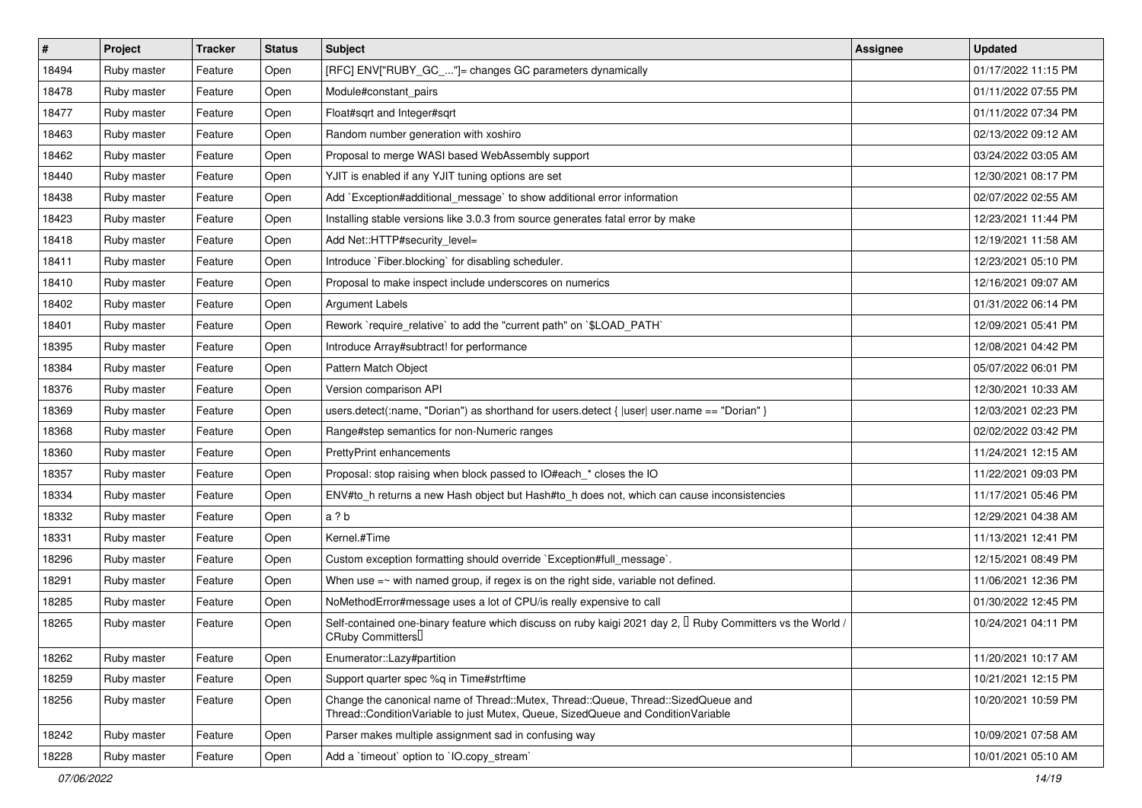| $\vert$ # | Project     | <b>Tracker</b> | <b>Status</b> | <b>Subject</b>                                                                                                                                                        | <b>Assignee</b> | <b>Updated</b>      |
|-----------|-------------|----------------|---------------|-----------------------------------------------------------------------------------------------------------------------------------------------------------------------|-----------------|---------------------|
| 18494     | Ruby master | Feature        | Open          | [RFC] ENV["RUBY_GC_"]= changes GC parameters dynamically                                                                                                              |                 | 01/17/2022 11:15 PM |
| 18478     | Ruby master | Feature        | Open          | Module#constant_pairs                                                                                                                                                 |                 | 01/11/2022 07:55 PM |
| 18477     | Ruby master | Feature        | Open          | Float#sqrt and Integer#sqrt                                                                                                                                           |                 | 01/11/2022 07:34 PM |
| 18463     | Ruby master | Feature        | Open          | Random number generation with xoshiro                                                                                                                                 |                 | 02/13/2022 09:12 AM |
| 18462     | Ruby master | Feature        | Open          | Proposal to merge WASI based WebAssembly support                                                                                                                      |                 | 03/24/2022 03:05 AM |
| 18440     | Ruby master | Feature        | Open          | YJIT is enabled if any YJIT tuning options are set                                                                                                                    |                 | 12/30/2021 08:17 PM |
| 18438     | Ruby master | Feature        | Open          | Add `Exception#additional_message` to show additional error information                                                                                               |                 | 02/07/2022 02:55 AM |
| 18423     | Ruby master | Feature        | Open          | Installing stable versions like 3.0.3 from source generates fatal error by make                                                                                       |                 | 12/23/2021 11:44 PM |
| 18418     | Ruby master | Feature        | Open          | Add Net::HTTP#security_level=                                                                                                                                         |                 | 12/19/2021 11:58 AM |
| 18411     | Ruby master | Feature        | Open          | Introduce `Fiber.blocking` for disabling scheduler.                                                                                                                   |                 | 12/23/2021 05:10 PM |
| 18410     | Ruby master | Feature        | Open          | Proposal to make inspect include underscores on numerics                                                                                                              |                 | 12/16/2021 09:07 AM |
| 18402     | Ruby master | Feature        | Open          | <b>Argument Labels</b>                                                                                                                                                |                 | 01/31/2022 06:14 PM |
| 18401     | Ruby master | Feature        | Open          | Rework `require_relative` to add the "current path" on `\$LOAD_PATH`                                                                                                  |                 | 12/09/2021 05:41 PM |
| 18395     | Ruby master | Feature        | Open          | Introduce Array#subtract! for performance                                                                                                                             |                 | 12/08/2021 04:42 PM |
| 18384     | Ruby master | Feature        | Open          | Pattern Match Object                                                                                                                                                  |                 | 05/07/2022 06:01 PM |
| 18376     | Ruby master | Feature        | Open          | Version comparison API                                                                                                                                                |                 | 12/30/2021 10:33 AM |
| 18369     | Ruby master | Feature        | Open          | users.detect(:name, "Dorian") as shorthand for users.detect {  user  user.name == "Dorian" }                                                                          |                 | 12/03/2021 02:23 PM |
| 18368     | Ruby master | Feature        | Open          | Range#step semantics for non-Numeric ranges                                                                                                                           |                 | 02/02/2022 03:42 PM |
| 18360     | Ruby master | Feature        | Open          | PrettyPrint enhancements                                                                                                                                              |                 | 11/24/2021 12:15 AM |
| 18357     | Ruby master | Feature        | Open          | Proposal: stop raising when block passed to IO#each_* closes the IO                                                                                                   |                 | 11/22/2021 09:03 PM |
| 18334     | Ruby master | Feature        | Open          | ENV#to_h returns a new Hash object but Hash#to_h does not, which can cause inconsistencies                                                                            |                 | 11/17/2021 05:46 PM |
| 18332     | Ruby master | Feature        | Open          | a ? b                                                                                                                                                                 |                 | 12/29/2021 04:38 AM |
| 18331     | Ruby master | Feature        | Open          | Kernel.#Time                                                                                                                                                          |                 | 11/13/2021 12:41 PM |
| 18296     | Ruby master | Feature        | Open          | Custom exception formatting should override `Exception#full_message`.                                                                                                 |                 | 12/15/2021 08:49 PM |
| 18291     | Ruby master | Feature        | Open          | When use $=\sim$ with named group, if regex is on the right side, variable not defined.                                                                               |                 | 11/06/2021 12:36 PM |
| 18285     | Ruby master | Feature        | Open          | NoMethodError#message uses a lot of CPU/is really expensive to call                                                                                                   |                 | 01/30/2022 12:45 PM |
| 18265     | Ruby master | Feature        | Open          | Self-contained one-binary feature which discuss on ruby kaigi 2021 day 2, $\Box$ Ruby Committers vs the World /<br>CRuby Committers                                   |                 | 10/24/2021 04:11 PM |
| 18262     | Ruby master | Feature        | Open          | Enumerator::Lazy#partition                                                                                                                                            |                 | 11/20/2021 10:17 AM |
| 18259     | Ruby master | Feature        | Open          | Support quarter spec %q in Time#strftime                                                                                                                              |                 | 10/21/2021 12:15 PM |
| 18256     | Ruby master | Feature        | Open          | Change the canonical name of Thread::Mutex, Thread::Queue, Thread::SizedQueue and<br>Thread::ConditionVariable to just Mutex, Queue, SizedQueue and ConditionVariable |                 | 10/20/2021 10:59 PM |
| 18242     | Ruby master | Feature        | Open          | Parser makes multiple assignment sad in confusing way                                                                                                                 |                 | 10/09/2021 07:58 AM |
| 18228     | Ruby master | Feature        | Open          | Add a 'timeout' option to 'IO.copy stream'                                                                                                                            |                 | 10/01/2021 05:10 AM |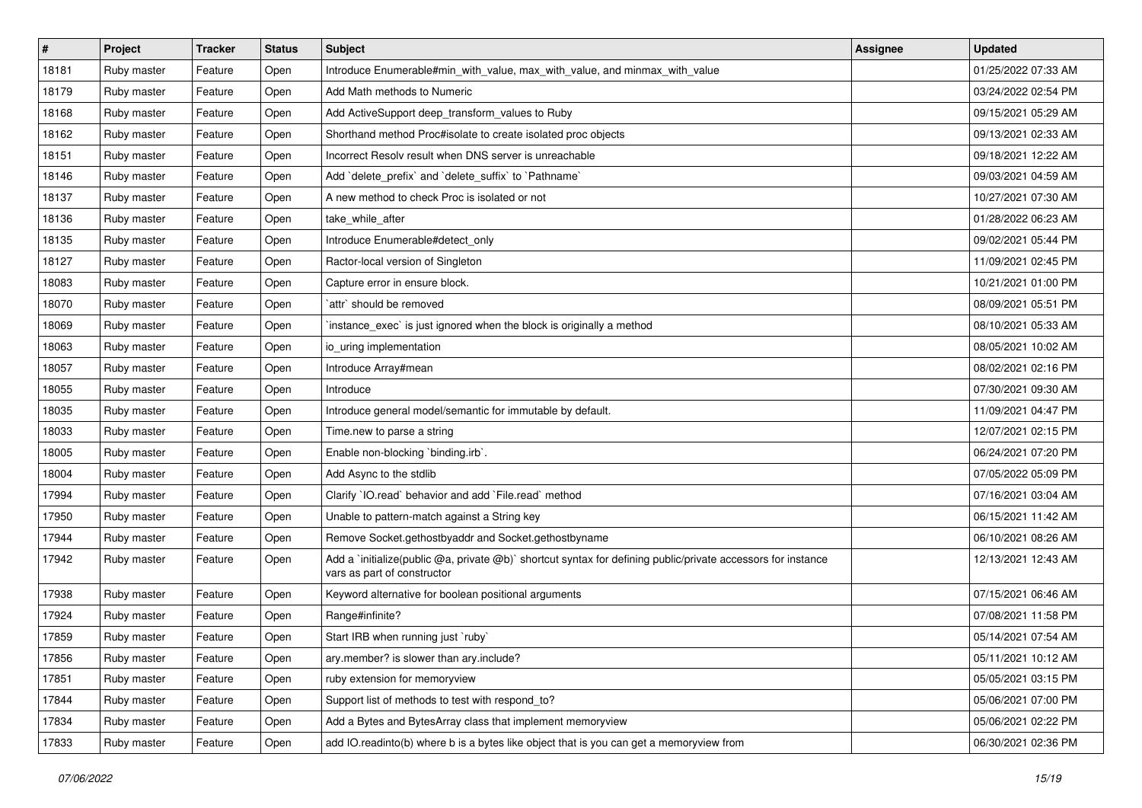| $\pmb{\sharp}$ | Project     | <b>Tracker</b> | <b>Status</b> | Subject                                                                                                                                     | <b>Assignee</b> | <b>Updated</b>      |
|----------------|-------------|----------------|---------------|---------------------------------------------------------------------------------------------------------------------------------------------|-----------------|---------------------|
| 18181          | Ruby master | Feature        | Open          | Introduce Enumerable#min_with_value, max_with_value, and minmax_with_value                                                                  |                 | 01/25/2022 07:33 AM |
| 18179          | Ruby master | Feature        | Open          | Add Math methods to Numeric                                                                                                                 |                 | 03/24/2022 02:54 PM |
| 18168          | Ruby master | Feature        | Open          | Add ActiveSupport deep_transform_values to Ruby                                                                                             |                 | 09/15/2021 05:29 AM |
| 18162          | Ruby master | Feature        | Open          | Shorthand method Proc#isolate to create isolated proc objects                                                                               |                 | 09/13/2021 02:33 AM |
| 18151          | Ruby master | Feature        | Open          | Incorrect Resolv result when DNS server is unreachable                                                                                      |                 | 09/18/2021 12:22 AM |
| 18146          | Ruby master | Feature        | Open          | Add `delete prefix` and `delete suffix` to `Pathname`                                                                                       |                 | 09/03/2021 04:59 AM |
| 18137          | Ruby master | Feature        | Open          | A new method to check Proc is isolated or not                                                                                               |                 | 10/27/2021 07:30 AM |
| 18136          | Ruby master | Feature        | Open          | take while after                                                                                                                            |                 | 01/28/2022 06:23 AM |
| 18135          | Ruby master | Feature        | Open          | Introduce Enumerable#detect_only                                                                                                            |                 | 09/02/2021 05:44 PM |
| 18127          | Ruby master | Feature        | Open          | Ractor-local version of Singleton                                                                                                           |                 | 11/09/2021 02:45 PM |
| 18083          | Ruby master | Feature        | Open          | Capture error in ensure block.                                                                                                              |                 | 10/21/2021 01:00 PM |
| 18070          | Ruby master | Feature        | Open          | `attr` should be removed                                                                                                                    |                 | 08/09/2021 05:51 PM |
| 18069          | Ruby master | Feature        | Open          | instance_exec` is just ignored when the block is originally a method                                                                        |                 | 08/10/2021 05:33 AM |
| 18063          | Ruby master | Feature        | Open          | io_uring implementation                                                                                                                     |                 | 08/05/2021 10:02 AM |
| 18057          | Ruby master | Feature        | Open          | Introduce Array#mean                                                                                                                        |                 | 08/02/2021 02:16 PM |
| 18055          | Ruby master | Feature        | Open          | Introduce                                                                                                                                   |                 | 07/30/2021 09:30 AM |
| 18035          | Ruby master | Feature        | Open          | Introduce general model/semantic for immutable by default.                                                                                  |                 | 11/09/2021 04:47 PM |
| 18033          | Ruby master | Feature        | Open          | Time.new to parse a string                                                                                                                  |                 | 12/07/2021 02:15 PM |
| 18005          | Ruby master | Feature        | Open          | Enable non-blocking `binding.irb`.                                                                                                          |                 | 06/24/2021 07:20 PM |
| 18004          | Ruby master | Feature        | Open          | Add Async to the stdlib                                                                                                                     |                 | 07/05/2022 05:09 PM |
| 17994          | Ruby master | Feature        | Open          | Clarify `IO.read` behavior and add `File.read` method                                                                                       |                 | 07/16/2021 03:04 AM |
| 17950          | Ruby master | Feature        | Open          | Unable to pattern-match against a String key                                                                                                |                 | 06/15/2021 11:42 AM |
| 17944          | Ruby master | Feature        | Open          | Remove Socket.gethostbyaddr and Socket.gethostbyname                                                                                        |                 | 06/10/2021 08:26 AM |
| 17942          | Ruby master | Feature        | Open          | Add a `initialize(public @a, private @b)` shortcut syntax for defining public/private accessors for instance<br>vars as part of constructor |                 | 12/13/2021 12:43 AM |
| 17938          | Ruby master | Feature        | Open          | Keyword alternative for boolean positional arguments                                                                                        |                 | 07/15/2021 06:46 AM |
| 17924          | Ruby master | Feature        | Open          | Range#infinite?                                                                                                                             |                 | 07/08/2021 11:58 PM |
| 17859          | Ruby master | Feature        | Open          | Start IRB when running just `ruby`                                                                                                          |                 | 05/14/2021 07:54 AM |
| 17856          | Ruby master | Feature        | Open          | ary.member? is slower than ary.include?                                                                                                     |                 | 05/11/2021 10:12 AM |
| 17851          | Ruby master | Feature        | Open          | ruby extension for memoryview                                                                                                               |                 | 05/05/2021 03:15 PM |
| 17844          | Ruby master | Feature        | Open          | Support list of methods to test with respond_to?                                                                                            |                 | 05/06/2021 07:00 PM |
| 17834          | Ruby master | Feature        | Open          | Add a Bytes and BytesArray class that implement memoryview                                                                                  |                 | 05/06/2021 02:22 PM |
| 17833          | Ruby master | Feature        | Open          | add IO.readinto(b) where b is a bytes like object that is you can get a memoryview from                                                     |                 | 06/30/2021 02:36 PM |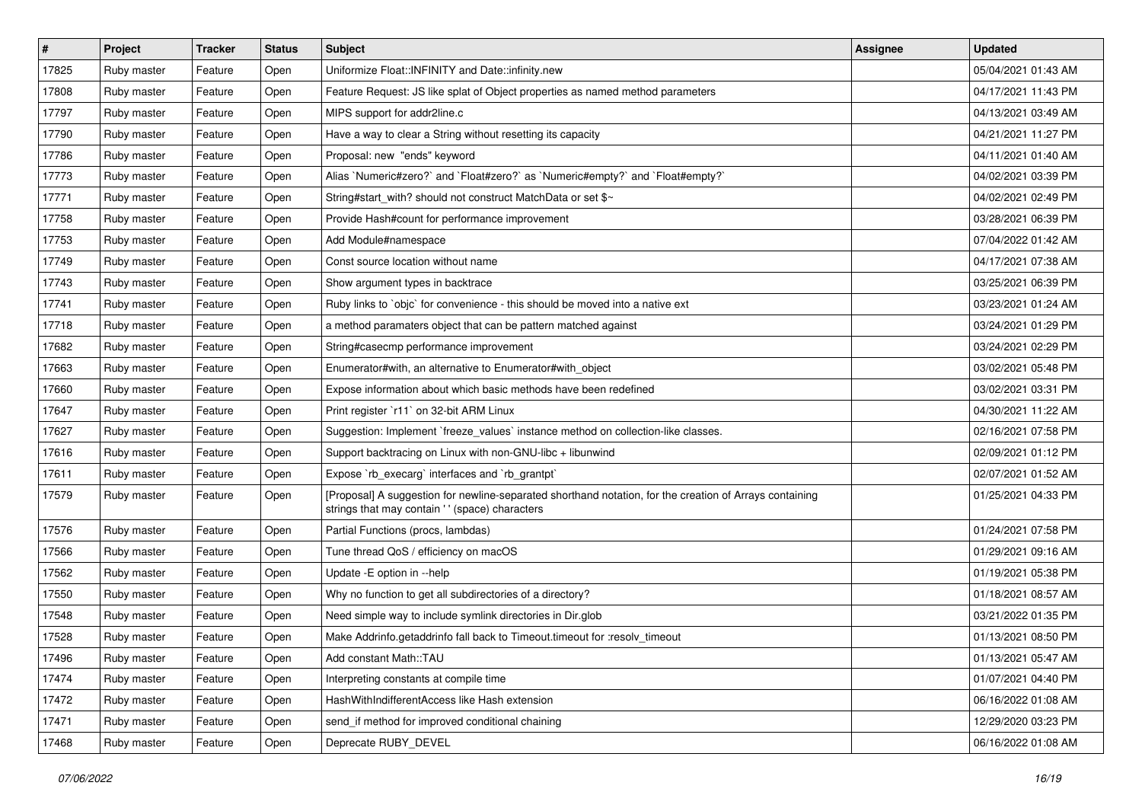| #     | Project     | <b>Tracker</b> | <b>Status</b> | <b>Subject</b>                                                                                                                                             | <b>Assignee</b> | <b>Updated</b>      |
|-------|-------------|----------------|---------------|------------------------------------------------------------------------------------------------------------------------------------------------------------|-----------------|---------------------|
| 17825 | Ruby master | Feature        | Open          | Uniformize Float::INFINITY and Date::infinity.new                                                                                                          |                 | 05/04/2021 01:43 AM |
| 17808 | Ruby master | Feature        | Open          | Feature Request: JS like splat of Object properties as named method parameters                                                                             |                 | 04/17/2021 11:43 PM |
| 17797 | Ruby master | Feature        | Open          | MIPS support for addr2line.c                                                                                                                               |                 | 04/13/2021 03:49 AM |
| 17790 | Ruby master | Feature        | Open          | Have a way to clear a String without resetting its capacity                                                                                                |                 | 04/21/2021 11:27 PM |
| 17786 | Ruby master | Feature        | Open          | Proposal: new "ends" keyword                                                                                                                               |                 | 04/11/2021 01:40 AM |
| 17773 | Ruby master | Feature        | Open          | Alias `Numeric#zero?` and `Float#zero?` as `Numeric#empty?` and `Float#empty?`                                                                             |                 | 04/02/2021 03:39 PM |
| 17771 | Ruby master | Feature        | Open          | String#start_with? should not construct MatchData or set \$~                                                                                               |                 | 04/02/2021 02:49 PM |
| 17758 | Ruby master | Feature        | Open          | Provide Hash#count for performance improvement                                                                                                             |                 | 03/28/2021 06:39 PM |
| 17753 | Ruby master | Feature        | Open          | Add Module#namespace                                                                                                                                       |                 | 07/04/2022 01:42 AM |
| 17749 | Ruby master | Feature        | Open          | Const source location without name                                                                                                                         |                 | 04/17/2021 07:38 AM |
| 17743 | Ruby master | Feature        | Open          | Show argument types in backtrace                                                                                                                           |                 | 03/25/2021 06:39 PM |
| 17741 | Ruby master | Feature        | Open          | Ruby links to `objc` for convenience - this should be moved into a native ext                                                                              |                 | 03/23/2021 01:24 AM |
| 17718 | Ruby master | Feature        | Open          | a method paramaters object that can be pattern matched against                                                                                             |                 | 03/24/2021 01:29 PM |
| 17682 | Ruby master | Feature        | Open          | String#casecmp performance improvement                                                                                                                     |                 | 03/24/2021 02:29 PM |
| 17663 | Ruby master | Feature        | Open          | Enumerator#with, an alternative to Enumerator#with_object                                                                                                  |                 | 03/02/2021 05:48 PM |
| 17660 | Ruby master | Feature        | Open          | Expose information about which basic methods have been redefined                                                                                           |                 | 03/02/2021 03:31 PM |
| 17647 | Ruby master | Feature        | Open          | Print register `r11` on 32-bit ARM Linux                                                                                                                   |                 | 04/30/2021 11:22 AM |
| 17627 | Ruby master | Feature        | Open          | Suggestion: Implement `freeze_values` instance method on collection-like classes.                                                                          |                 | 02/16/2021 07:58 PM |
| 17616 | Ruby master | Feature        | Open          | Support backtracing on Linux with non-GNU-libc + libunwind                                                                                                 |                 | 02/09/2021 01:12 PM |
| 17611 | Ruby master | Feature        | Open          | Expose `rb_execarg` interfaces and `rb_grantpt`                                                                                                            |                 | 02/07/2021 01:52 AM |
| 17579 | Ruby master | Feature        | Open          | [Proposal] A suggestion for newline-separated shorthand notation, for the creation of Arrays containing<br>strings that may contain ' ' (space) characters |                 | 01/25/2021 04:33 PM |
| 17576 | Ruby master | Feature        | Open          | Partial Functions (procs, lambdas)                                                                                                                         |                 | 01/24/2021 07:58 PM |
| 17566 | Ruby master | Feature        | Open          | Tune thread QoS / efficiency on macOS                                                                                                                      |                 | 01/29/2021 09:16 AM |
| 17562 | Ruby master | Feature        | Open          | Update - E option in -- help                                                                                                                               |                 | 01/19/2021 05:38 PM |
| 17550 | Ruby master | Feature        | Open          | Why no function to get all subdirectories of a directory?                                                                                                  |                 | 01/18/2021 08:57 AM |
| 17548 | Ruby master | Feature        | Open          | Need simple way to include symlink directories in Dir.glob                                                                                                 |                 | 03/21/2022 01:35 PM |
| 17528 | Ruby master | Feature        | Open          | Make Addrinfo.getaddrinfo fall back to Timeout.timeout for :resolv_timeout                                                                                 |                 | 01/13/2021 08:50 PM |
| 17496 | Ruby master | Feature        | Open          | Add constant Math::TAU                                                                                                                                     |                 | 01/13/2021 05:47 AM |
| 17474 | Ruby master | Feature        | Open          | Interpreting constants at compile time                                                                                                                     |                 | 01/07/2021 04:40 PM |
| 17472 | Ruby master | Feature        | Open          | HashWithIndifferentAccess like Hash extension                                                                                                              |                 | 06/16/2022 01:08 AM |
| 17471 | Ruby master | Feature        | Open          | send_if method for improved conditional chaining                                                                                                           |                 | 12/29/2020 03:23 PM |
| 17468 | Ruby master | Feature        | Open          | Deprecate RUBY_DEVEL                                                                                                                                       |                 | 06/16/2022 01:08 AM |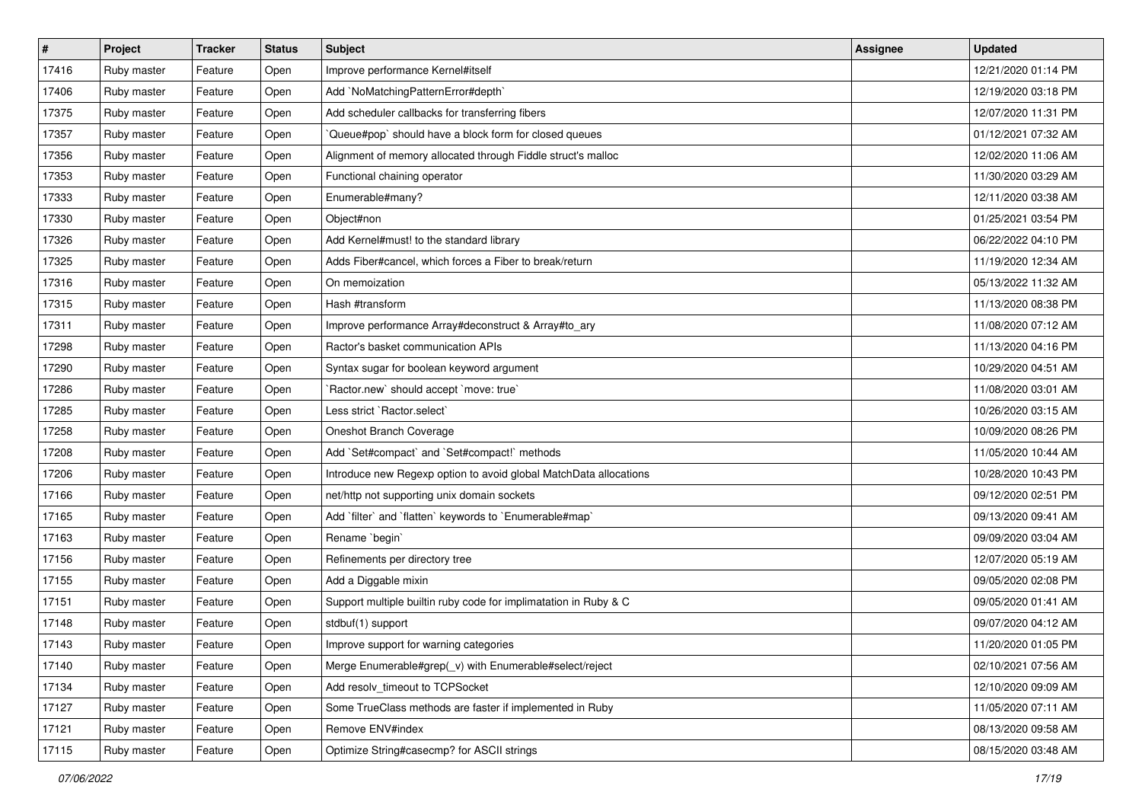| $\sharp$ | Project     | <b>Tracker</b> | <b>Status</b> | <b>Subject</b>                                                    | <b>Assignee</b> | <b>Updated</b>      |
|----------|-------------|----------------|---------------|-------------------------------------------------------------------|-----------------|---------------------|
| 17416    | Ruby master | Feature        | Open          | Improve performance Kernel#itself                                 |                 | 12/21/2020 01:14 PM |
| 17406    | Ruby master | Feature        | Open          | Add `NoMatchingPatternError#depth`                                |                 | 12/19/2020 03:18 PM |
| 17375    | Ruby master | Feature        | Open          | Add scheduler callbacks for transferring fibers                   |                 | 12/07/2020 11:31 PM |
| 17357    | Ruby master | Feature        | Open          | Queue#pop` should have a block form for closed queues             |                 | 01/12/2021 07:32 AM |
| 17356    | Ruby master | Feature        | Open          | Alignment of memory allocated through Fiddle struct's malloc      |                 | 12/02/2020 11:06 AM |
| 17353    | Ruby master | Feature        | Open          | Functional chaining operator                                      |                 | 11/30/2020 03:29 AM |
| 17333    | Ruby master | Feature        | Open          | Enumerable#many?                                                  |                 | 12/11/2020 03:38 AM |
| 17330    | Ruby master | Feature        | Open          | Object#non                                                        |                 | 01/25/2021 03:54 PM |
| 17326    | Ruby master | Feature        | Open          | Add Kernel#must! to the standard library                          |                 | 06/22/2022 04:10 PM |
| 17325    | Ruby master | Feature        | Open          | Adds Fiber#cancel, which forces a Fiber to break/return           |                 | 11/19/2020 12:34 AM |
| 17316    | Ruby master | Feature        | Open          | On memoization                                                    |                 | 05/13/2022 11:32 AM |
| 17315    | Ruby master | Feature        | Open          | Hash #transform                                                   |                 | 11/13/2020 08:38 PM |
| 17311    | Ruby master | Feature        | Open          | Improve performance Array#deconstruct & Array#to_ary              |                 | 11/08/2020 07:12 AM |
| 17298    | Ruby master | Feature        | Open          | Ractor's basket communication APIs                                |                 | 11/13/2020 04:16 PM |
| 17290    | Ruby master | Feature        | Open          | Syntax sugar for boolean keyword argument                         |                 | 10/29/2020 04:51 AM |
| 17286    | Ruby master | Feature        | Open          | 'Ractor.new' should accept 'move: true'                           |                 | 11/08/2020 03:01 AM |
| 17285    | Ruby master | Feature        | Open          | Less strict `Ractor.select`                                       |                 | 10/26/2020 03:15 AM |
| 17258    | Ruby master | Feature        | Open          | Oneshot Branch Coverage                                           |                 | 10/09/2020 08:26 PM |
| 17208    | Ruby master | Feature        | Open          | Add `Set#compact` and `Set#compact!` methods                      |                 | 11/05/2020 10:44 AM |
| 17206    | Ruby master | Feature        | Open          | Introduce new Regexp option to avoid global MatchData allocations |                 | 10/28/2020 10:43 PM |
| 17166    | Ruby master | Feature        | Open          | net/http not supporting unix domain sockets                       |                 | 09/12/2020 02:51 PM |
| 17165    | Ruby master | Feature        | Open          | Add `filter` and `flatten` keywords to `Enumerable#map`           |                 | 09/13/2020 09:41 AM |
| 17163    | Ruby master | Feature        | Open          | Rename `begin`                                                    |                 | 09/09/2020 03:04 AM |
| 17156    | Ruby master | Feature        | Open          | Refinements per directory tree                                    |                 | 12/07/2020 05:19 AM |
| 17155    | Ruby master | Feature        | Open          | Add a Diggable mixin                                              |                 | 09/05/2020 02:08 PM |
| 17151    | Ruby master | Feature        | Open          | Support multiple builtin ruby code for implimatation in Ruby & C  |                 | 09/05/2020 01:41 AM |
| 17148    | Ruby master | Feature        | Open          | stdbuf(1) support                                                 |                 | 09/07/2020 04:12 AM |
| 17143    | Ruby master | Feature        | Open          | Improve support for warning categories                            |                 | 11/20/2020 01:05 PM |
| 17140    | Ruby master | Feature        | Open          | Merge Enumerable#grep(_v) with Enumerable#select/reject           |                 | 02/10/2021 07:56 AM |
| 17134    | Ruby master | Feature        | Open          | Add resolv_timeout to TCPSocket                                   |                 | 12/10/2020 09:09 AM |
| 17127    | Ruby master | Feature        | Open          | Some TrueClass methods are faster if implemented in Ruby          |                 | 11/05/2020 07:11 AM |
| 17121    | Ruby master | Feature        | Open          | Remove ENV#index                                                  |                 | 08/13/2020 09:58 AM |
| 17115    | Ruby master | Feature        | Open          | Optimize String#casecmp? for ASCII strings                        |                 | 08/15/2020 03:48 AM |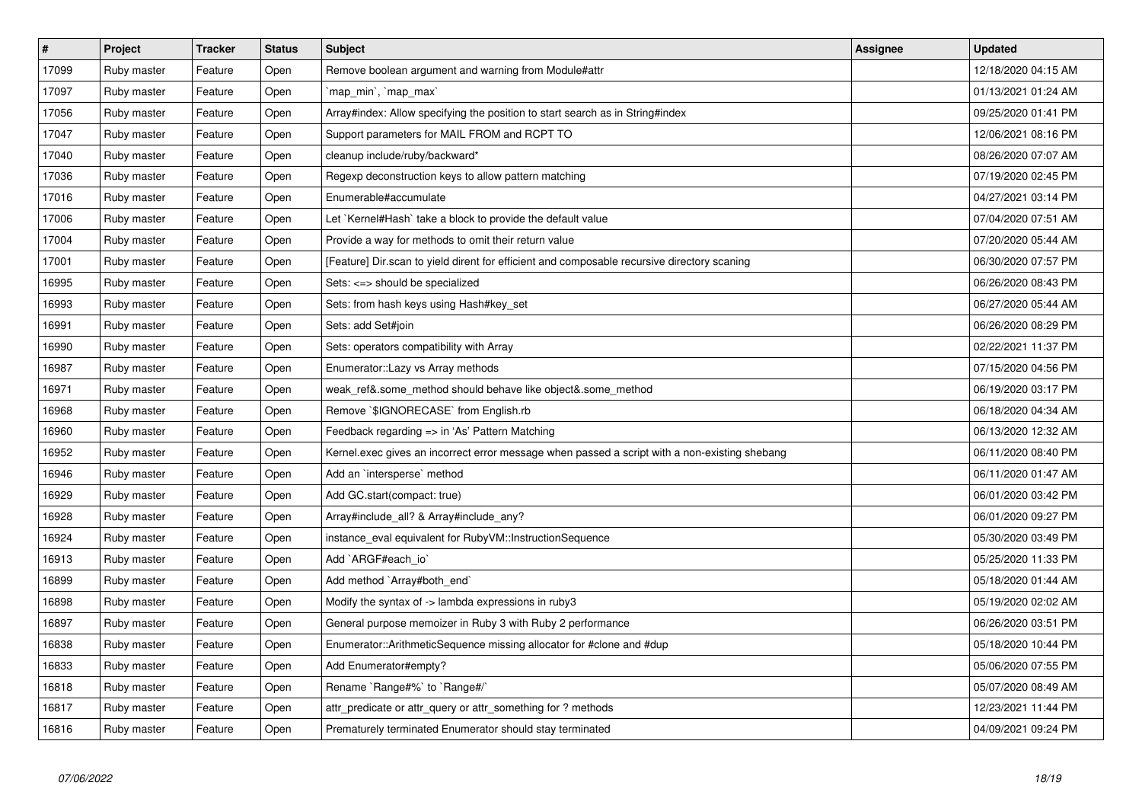| $\sharp$ | Project     | <b>Tracker</b> | <b>Status</b> | <b>Subject</b>                                                                                | <b>Assignee</b> | <b>Updated</b>      |
|----------|-------------|----------------|---------------|-----------------------------------------------------------------------------------------------|-----------------|---------------------|
| 17099    | Ruby master | Feature        | Open          | Remove boolean argument and warning from Module#attr                                          |                 | 12/18/2020 04:15 AM |
| 17097    | Ruby master | Feature        | Open          | 'map min', 'map max'                                                                          |                 | 01/13/2021 01:24 AM |
| 17056    | Ruby master | Feature        | Open          | Array#index: Allow specifying the position to start search as in String#index                 |                 | 09/25/2020 01:41 PM |
| 17047    | Ruby master | Feature        | Open          | Support parameters for MAIL FROM and RCPT TO                                                  |                 | 12/06/2021 08:16 PM |
| 17040    | Ruby master | Feature        | Open          | cleanup include/ruby/backward*                                                                |                 | 08/26/2020 07:07 AM |
| 17036    | Ruby master | Feature        | Open          | Regexp deconstruction keys to allow pattern matching                                          |                 | 07/19/2020 02:45 PM |
| 17016    | Ruby master | Feature        | Open          | Enumerable#accumulate                                                                         |                 | 04/27/2021 03:14 PM |
| 17006    | Ruby master | Feature        | Open          | Let `Kernel#Hash` take a block to provide the default value                                   |                 | 07/04/2020 07:51 AM |
| 17004    | Ruby master | Feature        | Open          | Provide a way for methods to omit their return value                                          |                 | 07/20/2020 05:44 AM |
| 17001    | Ruby master | Feature        | Open          | [Feature] Dir.scan to yield dirent for efficient and composable recursive directory scaning   |                 | 06/30/2020 07:57 PM |
| 16995    | Ruby master | Feature        | Open          | Sets: <=> should be specialized                                                               |                 | 06/26/2020 08:43 PM |
| 16993    | Ruby master | Feature        | Open          | Sets: from hash keys using Hash#key_set                                                       |                 | 06/27/2020 05:44 AM |
| 16991    | Ruby master | Feature        | Open          | Sets: add Set#join                                                                            |                 | 06/26/2020 08:29 PM |
| 16990    | Ruby master | Feature        | Open          | Sets: operators compatibility with Array                                                      |                 | 02/22/2021 11:37 PM |
| 16987    | Ruby master | Feature        | Open          | Enumerator:: Lazy vs Array methods                                                            |                 | 07/15/2020 04:56 PM |
| 16971    | Ruby master | Feature        | Open          | weak_ref&.some_method should behave like object&.some_method                                  |                 | 06/19/2020 03:17 PM |
| 16968    | Ruby master | Feature        | Open          | Remove `\$IGNORECASE` from English.rb                                                         |                 | 06/18/2020 04:34 AM |
| 16960    | Ruby master | Feature        | Open          | Feedback regarding => in 'As' Pattern Matching                                                |                 | 06/13/2020 12:32 AM |
| 16952    | Ruby master | Feature        | Open          | Kernel.exec gives an incorrect error message when passed a script with a non-existing shebang |                 | 06/11/2020 08:40 PM |
| 16946    | Ruby master | Feature        | Open          | Add an `intersperse` method                                                                   |                 | 06/11/2020 01:47 AM |
| 16929    | Ruby master | Feature        | Open          | Add GC.start(compact: true)                                                                   |                 | 06/01/2020 03:42 PM |
| 16928    | Ruby master | Feature        | Open          | Array#include_all? & Array#include_any?                                                       |                 | 06/01/2020 09:27 PM |
| 16924    | Ruby master | Feature        | Open          | instance_eval equivalent for RubyVM::InstructionSequence                                      |                 | 05/30/2020 03:49 PM |
| 16913    | Ruby master | Feature        | Open          | Add `ARGF#each_io`                                                                            |                 | 05/25/2020 11:33 PM |
| 16899    | Ruby master | Feature        | Open          | Add method `Array#both_end`                                                                   |                 | 05/18/2020 01:44 AM |
| 16898    | Ruby master | Feature        | Open          | Modify the syntax of -> lambda expressions in ruby3                                           |                 | 05/19/2020 02:02 AM |
| 16897    | Ruby master | Feature        | Open          | General purpose memoizer in Ruby 3 with Ruby 2 performance                                    |                 | 06/26/2020 03:51 PM |
| 16838    | Ruby master | Feature        | Open          | Enumerator::ArithmeticSequence missing allocator for #clone and #dup                          |                 | 05/18/2020 10:44 PM |
| 16833    | Ruby master | Feature        | Open          | Add Enumerator#empty?                                                                         |                 | 05/06/2020 07:55 PM |
| 16818    | Ruby master | Feature        | Open          | Rename `Range#%` to `Range#/`                                                                 |                 | 05/07/2020 08:49 AM |
| 16817    | Ruby master | Feature        | Open          | attr_predicate or attr_query or attr_something for ? methods                                  |                 | 12/23/2021 11:44 PM |
| 16816    | Ruby master | Feature        | Open          | Prematurely terminated Enumerator should stay terminated                                      |                 | 04/09/2021 09:24 PM |